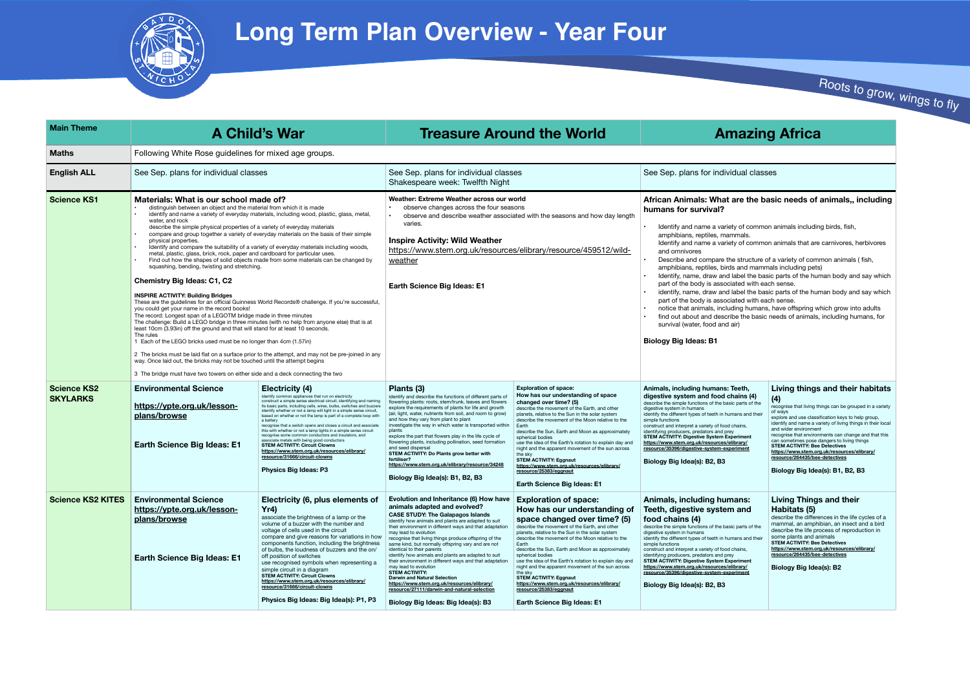## **African Animals: What are the basic needs of animals,, including**

y of common animals including birds, fish, .<br>amals.

y of common animals that are carnivores, herbivores

e structure of a variety of common animals ( fish,

s and mammals including pets)

label the basic parts of the human body and say which ated with each sense.

label the basic parts of the human body and say which ated with each sense.

ding humans, have offspring which grow into adults be the basic needs of animals, including humans, for

| eeth.<br>ıains (4)<br>parts of the<br>ans and their<br>hains,<br>eriment<br>brary/<br>eriment | Living things and their habitats<br>(4)<br>recognise that living things can be grouped in a variety<br>of ways<br>explore and use classification keys to help group,<br>identify and name a variety of living things in their local<br>and wider environment<br>recognise that environments can change and that this<br>can sometimes pose dangers to living things<br><b>STEM ACTIVITY: Bee Detectives</b><br>https://www.stem.org.uk/resources/elibrary/<br>resource/264435/bee-detectives<br>Biology Big Idea(s): B1, B2, B3 |
|-----------------------------------------------------------------------------------------------|---------------------------------------------------------------------------------------------------------------------------------------------------------------------------------------------------------------------------------------------------------------------------------------------------------------------------------------------------------------------------------------------------------------------------------------------------------------------------------------------------------------------------------|
| ans:<br>ı and<br>parts of the<br>ans and their<br>hains.<br>eriment<br>brary/<br>eriment      | Living Things and their<br>Habitats (5)<br>describe the differences in the life cycles of a<br>mammal, an amphibian, an insect and a bird<br>describe the life process of reproduction in<br>some plants and animals<br><b>STEM ACTIVITY: Bee Detectives</b><br>https://www.stem.org.uk/resources/elibrary/<br>resource/264435/bee-detectives<br>Biology Big Idea(s): B2                                                                                                                                                        |

| <b>Main Theme</b>                     |                                                                                                                                                                                                                                                                                                                                                                                                                                                                                                                                                                                                                                                                                                                                                                                                                                                                                                                                                                                                                                                                                                                                                                                                                                                                                                                                                                                                                                                                                                                                                                                                               | <b>A Child's War</b><br><b>Treasure Around the World</b>                                                                                                                                                                                                                                                                                                                                                                                                                                                                                                                                                                                                                                                                                                                                |                                                                                                                                                                                                                                                                                                                                                                                                                                                                                                                                                                                                                                                                                                                                                    |                                                                                                                                                                                                                                                                                                                                                                                                                                                                                                                                                                                                                     |                                                                                                                                                                                                                                                                                                                                                                                                                                                                                                                                                                                             |
|---------------------------------------|---------------------------------------------------------------------------------------------------------------------------------------------------------------------------------------------------------------------------------------------------------------------------------------------------------------------------------------------------------------------------------------------------------------------------------------------------------------------------------------------------------------------------------------------------------------------------------------------------------------------------------------------------------------------------------------------------------------------------------------------------------------------------------------------------------------------------------------------------------------------------------------------------------------------------------------------------------------------------------------------------------------------------------------------------------------------------------------------------------------------------------------------------------------------------------------------------------------------------------------------------------------------------------------------------------------------------------------------------------------------------------------------------------------------------------------------------------------------------------------------------------------------------------------------------------------------------------------------------------------|-----------------------------------------------------------------------------------------------------------------------------------------------------------------------------------------------------------------------------------------------------------------------------------------------------------------------------------------------------------------------------------------------------------------------------------------------------------------------------------------------------------------------------------------------------------------------------------------------------------------------------------------------------------------------------------------------------------------------------------------------------------------------------------------|----------------------------------------------------------------------------------------------------------------------------------------------------------------------------------------------------------------------------------------------------------------------------------------------------------------------------------------------------------------------------------------------------------------------------------------------------------------------------------------------------------------------------------------------------------------------------------------------------------------------------------------------------------------------------------------------------------------------------------------------------|---------------------------------------------------------------------------------------------------------------------------------------------------------------------------------------------------------------------------------------------------------------------------------------------------------------------------------------------------------------------------------------------------------------------------------------------------------------------------------------------------------------------------------------------------------------------------------------------------------------------|---------------------------------------------------------------------------------------------------------------------------------------------------------------------------------------------------------------------------------------------------------------------------------------------------------------------------------------------------------------------------------------------------------------------------------------------------------------------------------------------------------------------------------------------------------------------------------------------|
| <b>Maths</b>                          | Following White Rose guidelines for mixed age groups.                                                                                                                                                                                                                                                                                                                                                                                                                                                                                                                                                                                                                                                                                                                                                                                                                                                                                                                                                                                                                                                                                                                                                                                                                                                                                                                                                                                                                                                                                                                                                         |                                                                                                                                                                                                                                                                                                                                                                                                                                                                                                                                                                                                                                                                                                                                                                                         |                                                                                                                                                                                                                                                                                                                                                                                                                                                                                                                                                                                                                                                                                                                                                    |                                                                                                                                                                                                                                                                                                                                                                                                                                                                                                                                                                                                                     |                                                                                                                                                                                                                                                                                                                                                                                                                                                                                                                                                                                             |
| <b>English ALL</b>                    | See Sep. plans for individual classes                                                                                                                                                                                                                                                                                                                                                                                                                                                                                                                                                                                                                                                                                                                                                                                                                                                                                                                                                                                                                                                                                                                                                                                                                                                                                                                                                                                                                                                                                                                                                                         |                                                                                                                                                                                                                                                                                                                                                                                                                                                                                                                                                                                                                                                                                                                                                                                         | See Sep. plans for individual classes<br>Shakespeare week: Twelfth Night                                                                                                                                                                                                                                                                                                                                                                                                                                                                                                                                                                                                                                                                           |                                                                                                                                                                                                                                                                                                                                                                                                                                                                                                                                                                                                                     | See Sep. plans for individual clas                                                                                                                                                                                                                                                                                                                                                                                                                                                                                                                                                          |
| <b>Science KS1</b>                    | Materials: What is our school made of?<br>distinguish between an object and the material from which it is made<br>identify and name a variety of everyday materials, including wood, plastic, glass, metal,<br>water, and rock<br>describe the simple physical properties of a variety of everyday materials<br>compare and group together a variety of everyday materials on the basis of their simple<br>physical properties.<br>Identify and compare the suitability of a variety of everyday materials including woods,<br>metal, plastic, glass, brick, rock, paper and cardboard for particular uses.<br>Find out how the shapes of solid objects made from some materials can be changed by<br>squashing, bending, twisting and stretching.<br><b>Chemistry Big Ideas: C1, C2</b><br><b>INSPIRE ACTIVITY: Building Bridges</b><br>These are the quidelines for an official Guinness World Records® challenge. If you're successful,<br>you could get your name in the record books!<br>The record: Longest span of a LEGOTM bridge made in three minutes<br>The challenge: Build a LEGO bridge in three minutes (with no help from anyone else) that is at<br>least 10cm (3.93in) off the ground and that will stand for at least 10 seconds.<br>The rules<br>1 Each of the LEGO bricks used must be no longer than 4cm (1.57in)<br>2 The bricks must be laid flat on a surface prior to the attempt, and may not be pre-joined in any<br>way. Once laid out, the bricks may not be touched until the attempt begins<br>3 The bridge must have two towers on either side and a deck connecting the two |                                                                                                                                                                                                                                                                                                                                                                                                                                                                                                                                                                                                                                                                                                                                                                                         | Weather: Extreme Weather across our world<br>observe changes across the four seasons<br>observe and describe weather associated with the seasons and how day length<br>varies.<br><b>Inspire Activity: Wild Weather</b><br>https://www.stem.org.uk/resources/elibrary/resource/459512/wild-<br>weather<br><b>Earth Science Big Ideas: E1</b>                                                                                                                                                                                                                                                                                                                                                                                                       |                                                                                                                                                                                                                                                                                                                                                                                                                                                                                                                                                                                                                     | African Animals: What are the b<br>humans for survival?<br>Identify and name a variety of comm<br>amphibians, reptiles, mammals.<br>Identify and name a variety of comm<br>and omnivores<br>Describe and compare the structure<br>amphibians, reptiles, birds and mam<br>Identify, name, draw and label the ba<br>part of the body is associated with e<br>identify, name, draw and label the ba<br>part of the body is associated with e<br>notice that animals, including humar<br>find out about and describe the basi<br>survival (water, food and air)<br><b>Biology Big Ideas: B1</b> |
| <b>Science KS2</b><br><b>SKYLARKS</b> | <b>Environmental Science</b><br>https://ypte.org.uk/lesson-<br>plans/browse<br><b>Earth Science Big Ideas: E1</b>                                                                                                                                                                                                                                                                                                                                                                                                                                                                                                                                                                                                                                                                                                                                                                                                                                                                                                                                                                                                                                                                                                                                                                                                                                                                                                                                                                                                                                                                                             | Electricity (4)<br>identify common appliances that run on electricity<br>construct a simple series electrical circuit, identifying and naming<br>its basic parts, including cells, wires, bulbs, switches and buzzers<br>identify whether or not a lamp will light in a simple series circuit,<br>based on whether or not the lamp is part of a complete loop with<br>a battery<br>recognise that a switch opens and closes a circuit and associate<br>this with whether or not a lamp lights in a simple series circuit<br>recognise some common conductors and insulators, and<br>associate metals with being good conductors<br><b>STEM ACTIVITY: Circuit Clowns</b><br>https://www.stem.org.uk/resources/elibrary/<br>resource/31666/circuit-clowns<br><b>Physics Big Ideas: P3</b> | Plants (3)<br>identify and describe the functions of different parts of<br>flowering plants: roots, stem/trunk, leaves and flowers<br>explore the requirements of plants for life and growth<br>(air, light, water, nutrients from soil, and room to grow)<br>and how they vary from plant to plant<br>investigate the way in which water is transported within<br>plants<br>explore the part that flowers play in the life cycle of<br>flowering plants, including pollination, seed formation<br>and seed dispersal<br>STEM ACTIVITY: Do Plants grow better with<br>fertiliser?<br>https://www.stem.org.uk/elibrary/resource/34248<br>Biology Big Idea(s): B1, B2, B3                                                                            | <b>Exploration of space:</b><br>How has our understanding of space<br>changed over time? (5)<br>describe the movement of the Earth, and other<br>planets, relative to the Sun in the solar system<br>describe the movement of the Moon relative to the<br>Earth<br>describe the Sun, Earth and Moon as approximately<br>spherical bodies<br>use the idea of the Earth's rotation to explain day and<br>night and the apparent movement of the sun across<br>the sky<br><b>STEM ACTIVITY: Eggnaut</b><br>https://www.stem.org.uk/resources/elibrary/<br>resource/25383/eggnaut<br><b>Earth Science Big Ideas: E1</b> | Animals, including humans: Teeth,<br>digestive system and food chains (4)<br>describe the simple functions of the basic parts of the<br>digestive system in humans<br>identify the different types of teeth in humans and their<br>simple functions<br>construct and interpret a variety of food chains,<br>identifying producers, predators and prey<br><b>STEM ACTIVITY: Digestive System Experiment</b><br>https://www.stem.org.uk/resources/elibrary/<br>resource/35396/digestive-system-experiment<br>Biology Big Idea(s): B2, B3                                                      |
| <b>Science KS2 KITES</b>              | <b>Environmental Science</b><br>https://ypte.org.uk/lesson-<br>plans/browse<br><b>Earth Science Big Ideas: E1</b>                                                                                                                                                                                                                                                                                                                                                                                                                                                                                                                                                                                                                                                                                                                                                                                                                                                                                                                                                                                                                                                                                                                                                                                                                                                                                                                                                                                                                                                                                             | Electricity (6, plus elements of<br>Yr4)<br>associate the brightness of a lamp or the<br>volume of a buzzer with the number and<br>voltage of cells used in the circuit<br>compare and give reasons for variations in how<br>components function, including the brightness<br>of bulbs, the loudness of buzzers and the on/<br>off position of switches<br>use recognised symbols when representing a<br>simple circuit in a diagram<br><b>STEM ACTIVITY: Circuit Clowns</b><br>https://www.stem.org.uk/resources/elibrary/<br>resource/31666/circuit-clowns<br>Physics Big Ideas: Big Idea(s): P1, P3                                                                                                                                                                                  | Evolution and Inheritance (6) How have<br>animals adapted and evolved?<br><b>CASE STUDY: The Galapagos Islands</b><br>identify how animals and plants are adapted to suit<br>their environment in different ways and that adaptation<br>may lead to evolution<br>recognise that living things produce offspring of the<br>same kind, but normally offspring vary and are not<br>identical to their parents<br>identify how animals and plants are adapted to suit<br>their environment in different ways and that adaptation<br>may lead to evolution<br><b>STEM ACTIVITY:</b><br>Darwin and Natural Selection<br>https://www.stem.org.uk/resources/elibrary/<br>resource/27111/darwin-and-natural-selection<br>Biology Big Ideas: Big Idea(s): B3 | <b>Exploration of space:</b><br>How has our understanding of<br>space changed over time? (5)<br>describe the movement of the Earth, and other<br>planets, relative to the Sun in the solar system<br>describe the movement of the Moon relative to the<br>Earth<br>describe the Sun, Earth and Moon as approximately<br>spherical bodies<br>use the idea of the Earth's rotation to explain day and<br>night and the apparent movement of the sun across<br>the sky<br><b>STEM ACTIVITY: Eggnaut</b><br>https://www.stem.org.uk/resources/elibrary/<br>resource/25383/eggnaut<br>Earth Science Big Ideas: E1        | Animals, including humans:<br>Teeth, digestive system and<br>food chains (4)<br>describe the simple functions of the basic parts of the<br>digestive system in humans<br>identify the different types of teeth in humans and their<br>simple functions<br>construct and interpret a variety of food chains,<br>identifying producers, predators and prey<br><b>STEM ACTIVITY: Digestive System Experiment</b><br>https://www.stem.org.uk/resources/elibrary/<br>resource/35396/digestive-system-experiment<br>Biology Big Idea(s): B2, B3                                                   |

# Roots to grow, wings to fly

# **Mazing Africa**

## dual classes



# **Long Term Plan Overview - Year Four**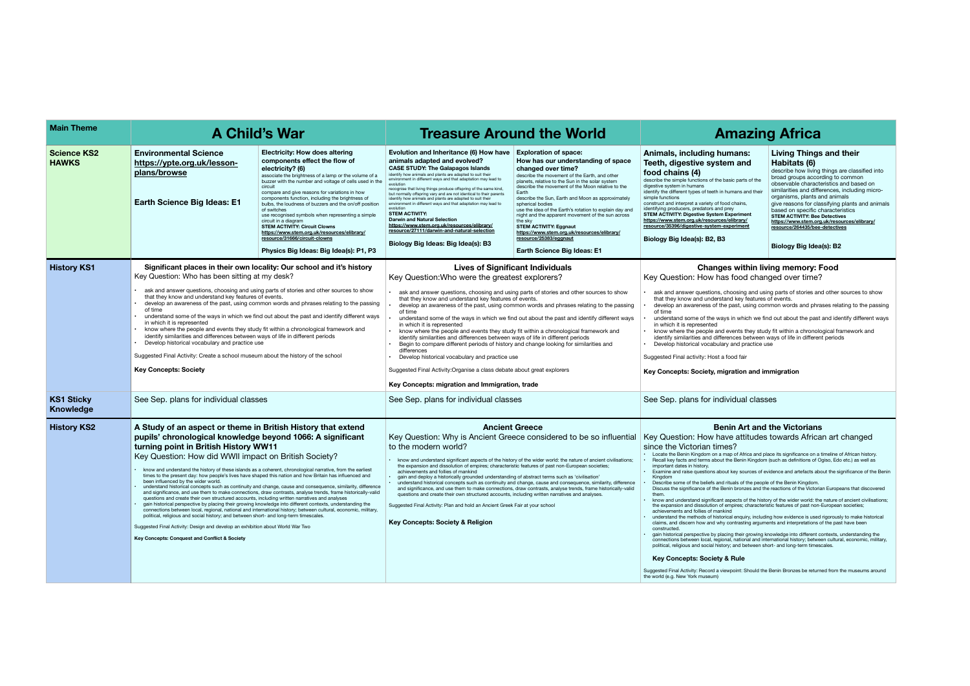#### **Living Things and their Habitats (6)**

describe how living things are classified into broad groups according to common observable characteristics and based on similarities and differences, including microorganisms, plants and animals give reasons for classifying plants and animals based on specific characteristics **STEM ACTIVITY: Bee Detectives [https://www.stem.org.uk/resources/elibrary/](https://www.stem.org.uk/resources/elibrary/resource/264435/bee-detectives) resource/264435/bee-detectives**

#### **Biology Big Idea(s): B2**

## **within living memory: Food**

food changed over time?

osing and using parts of stories and other sources to show they features of events. and, identice of ordinal.<br>http://www.bases.relating to the passing

in which we find out about the past and identify different ways

ents they study fit within a chronological framework and ices between ways of life in different periods and practice use

• gain historical perspective by placing their growing knowledge into different contexts, understanding the connections between local, regional, national and international history; between cultural, economic, military, and between short- and long-term timescales.

#### **Rule**

ooint: Should the Benin Bronzes be returned from the museums around

| <b>Main Theme</b>                     |                                                                                                                                                                                                                                                                                                                                                                                                                                                                                                                                                                                                                                                                                                                                                                                                                                                                                                                                                                                                                                                                                                                                                                                                                                                                                         | <b>A Child's War</b>                                                                                                                                                                                                                                                                                                                                                                                                                                                                                                                                                                                                                                    |                                                                                                                                                                                                                                                                                                                                                                                                                                                                                                                                                                                                                                                                                                                                                                                                                                                                                                                                                                                        | <b>Treasure Around the World</b>                                                                                                                                                                                                                                                                                                                                                                                                                                                                                                                                                                                | <b>Amazing</b>                                                                                                                                                                                                                                                                                                                                                                                                                                                                                                                                                                                                                                                                                                                                                                                                                                                                                                                                                                                                                                                      |
|---------------------------------------|-----------------------------------------------------------------------------------------------------------------------------------------------------------------------------------------------------------------------------------------------------------------------------------------------------------------------------------------------------------------------------------------------------------------------------------------------------------------------------------------------------------------------------------------------------------------------------------------------------------------------------------------------------------------------------------------------------------------------------------------------------------------------------------------------------------------------------------------------------------------------------------------------------------------------------------------------------------------------------------------------------------------------------------------------------------------------------------------------------------------------------------------------------------------------------------------------------------------------------------------------------------------------------------------|---------------------------------------------------------------------------------------------------------------------------------------------------------------------------------------------------------------------------------------------------------------------------------------------------------------------------------------------------------------------------------------------------------------------------------------------------------------------------------------------------------------------------------------------------------------------------------------------------------------------------------------------------------|----------------------------------------------------------------------------------------------------------------------------------------------------------------------------------------------------------------------------------------------------------------------------------------------------------------------------------------------------------------------------------------------------------------------------------------------------------------------------------------------------------------------------------------------------------------------------------------------------------------------------------------------------------------------------------------------------------------------------------------------------------------------------------------------------------------------------------------------------------------------------------------------------------------------------------------------------------------------------------------|-----------------------------------------------------------------------------------------------------------------------------------------------------------------------------------------------------------------------------------------------------------------------------------------------------------------------------------------------------------------------------------------------------------------------------------------------------------------------------------------------------------------------------------------------------------------------------------------------------------------|---------------------------------------------------------------------------------------------------------------------------------------------------------------------------------------------------------------------------------------------------------------------------------------------------------------------------------------------------------------------------------------------------------------------------------------------------------------------------------------------------------------------------------------------------------------------------------------------------------------------------------------------------------------------------------------------------------------------------------------------------------------------------------------------------------------------------------------------------------------------------------------------------------------------------------------------------------------------------------------------------------------------------------------------------------------------|
| <b>Science KS2</b><br><b>HAWKS</b>    | <b>Environmental Science</b><br>https://ypte.org.uk/lesson-<br>plans/browse<br><b>Earth Science Big Ideas: E1</b>                                                                                                                                                                                                                                                                                                                                                                                                                                                                                                                                                                                                                                                                                                                                                                                                                                                                                                                                                                                                                                                                                                                                                                       | <b>Electricity: How does altering</b><br>components effect the flow of<br>electricity? (6)<br>associate the brightness of a lamp or the volume of a<br>buzzer with the number and voltage of cells used in the<br>circuit<br>compare and give reasons for variations in how<br>components function, including the brightness of<br>bulbs, the loudness of buzzers and the on/off position<br>of switches<br>use recognised symbols when representing a simple<br>circuit in a diagram<br><b>STEM ACTIVITY: Circuit Clowns</b><br>https://www.stem.org.uk/resources/elibrary/<br>resource/31666/circuit-clowns<br>Physics Big Ideas: Big Idea(s): P1, P3 | Evolution and Inheritance (6) How have<br>animals adapted and evolved?<br><b>CASE STUDY: The Galapagos Islands</b><br>identify how animals and plants are adapted to suit their<br>environment in different ways and that adaptation may lead to<br>recognise that living things produce offspring of the same kind,<br>but normally offspring vary and are not identical to their parents<br>identify how animals and plants are adapted to suit their<br>environment in different ways and that adaptation may lead to<br>evolution<br><b>STEM ACTIVITY:</b><br><b>Darwin and Natural Selection</b><br>https://www.stem.org.uk/resources/elibrary/<br>resource/27111/darwin-and-natural-selection<br>Biology Big Ideas: Big Idea(s): B3                                                                                                                                                                                                                                              | <b>Exploration of space:</b><br>How has our understanding of space<br>changed over time?<br>describe the movement of the Earth, and other<br>planets, relative to the Sun in the solar system<br>describe the movement of the Moon relative to the<br>Earth<br>describe the Sun, Earth and Moon as approximately<br>spherical bodies<br>use the idea of the Earth's rotation to explain day and<br>night and the apparent movement of the sun across<br>the sky<br><b>STEM ACTIVITY: Eggnaut</b><br>https://www.stem.org.uk/resources/elibrary/<br>resource/25383/eggnaut<br><b>Earth Science Big Ideas: E1</b> | Animals, including humans:<br>Teeth, digestive system and<br>food chains (4)<br>describe the simple functions of the basic parts of the<br>digestive system in humans<br>identify the different types of teeth in humans and their<br>simple functions<br>construct and interpret a variety of food chains,<br>identifying producers, predators and prey<br>STEM ACTIVITY: Digestive System Experiment<br>https://www.stem.org.uk/resources/elibrary/<br>resource/35396/digestive-system-experiment<br><u>re</u><br>Biology Big Idea(s): B2, B3<br>B                                                                                                                                                                                                                                                                                                                                                                                                                                                                                                                |
| <b>History KS1</b>                    | Significant places in their own locality: Our school and it's history<br>Key Question: Who has been sitting at my desk?<br>ask and answer questions, choosing and using parts of stories and other sources to show<br>that they know and understand key features of events.<br>develop an awareness of the past, using common words and phrases relating to the passing<br>of time<br>understand some of the ways in which we find out about the past and identify different ways<br>in which it is represented<br>know where the people and events they study fit within a chronological framework and<br>identify similarities and differences between ways of life in different periods<br>Develop historical vocabulary and practice use<br>Suggested Final Activity: Create a school museum about the history of the school<br><b>Key Concepts: Society</b>                                                                                                                                                                                                                                                                                                                                                                                                                        |                                                                                                                                                                                                                                                                                                                                                                                                                                                                                                                                                                                                                                                         | <b>Lives of Significant Individuals</b><br>Key Question: Who were the greatest explorers?<br>ask and answer questions, choosing and using parts of stories and other sources to show<br>that they know and understand key features of events.<br>develop an awareness of the past, using common words and phrases relating to the passing<br>of time<br>understand some of the ways in which we find out about the past and identify different ways<br>in which it is represented<br>know where the people and events they study fit within a chronological framework and<br>identify similarities and differences between ways of life in different periods<br>Begin to compare different periods of history and change looking for similarities and<br>differences<br>Develop historical vocabulary and practice use<br>Suggested Final Activity: Organise a class debate about great explorers<br>Key Concepts: migration and Immigration, trade                                    | <b>Changes within living</b><br>Key Question: How has food change<br>ask and answer questions, choosing and using post-<br>that they know and understand key features of e<br>develop an awareness of the past, using commo<br>of time<br>understand some of the ways in which we find o<br>in which it is represented<br>know where the people and events they study fit<br>identify similarities and differences between way<br>Develop historical vocabulary and practice use<br>Suggested Final activity: Host a food fair<br>Key Concepts: Society, migration and immi                                     |                                                                                                                                                                                                                                                                                                                                                                                                                                                                                                                                                                                                                                                                                                                                                                                                                                                                                                                                                                                                                                                                     |
| <b>KS1 Sticky</b><br><b>Knowledge</b> | See Sep. plans for individual classes                                                                                                                                                                                                                                                                                                                                                                                                                                                                                                                                                                                                                                                                                                                                                                                                                                                                                                                                                                                                                                                                                                                                                                                                                                                   |                                                                                                                                                                                                                                                                                                                                                                                                                                                                                                                                                                                                                                                         | See Sep. plans for individual classes                                                                                                                                                                                                                                                                                                                                                                                                                                                                                                                                                                                                                                                                                                                                                                                                                                                                                                                                                  |                                                                                                                                                                                                                                                                                                                                                                                                                                                                                                                                                                                                                 | See Sep. plans for individual classes                                                                                                                                                                                                                                                                                                                                                                                                                                                                                                                                                                                                                                                                                                                                                                                                                                                                                                                                                                                                                               |
| <b>History KS2</b>                    | A Study of an aspect or theme in British History that extend<br>pupils' chronological knowledge beyond 1066: A significant<br>turning point in British History WW11<br>Key Question: How did WWII impact on British Society?<br>know and understand the history of these islands as a coherent, chronological narrative, from the earliest<br>times to the present day: how people's lives have shaped this nation and how Britain has influenced and<br>been influenced by the wider world.<br>understand historical concepts such as continuity and change, cause and consequence, similarity, difference<br>and significance, and use them to make connections, draw contrasts, analyse trends, frame historically-valid<br>questions and create their own structured accounts, including written narratives and analyses<br>gain historical perspective by placing their growing knowledge into different contexts, understanding the<br>connections between local, regional, national and international history; between cultural, economic, military,<br>political, religious and social history; and between short- and long-term timescales.<br>Suggested Final Activity: Design and develop an exhibition about World War Two<br>Key Concepts: Conquest and Conflict & Society |                                                                                                                                                                                                                                                                                                                                                                                                                                                                                                                                                                                                                                                         | <b>Ancient Greece</b><br>Key Question: Why is Ancient Greece considered to be so influential   Key Question: How have attitudes to<br>to the modern world?<br>· know and understand significant aspects of the history of the wider world: the nature of ancient civilisations;<br>the expansion and dissolution of empires; characteristic features of past non-European societies;<br>achievements and follies of mankind<br>· gain and deploy a historically grounded understanding of abstract terms such as 'civilisation'<br>. understand historical concepts such as continuity and change, cause and consequence, similarity, difference<br>and significance, and use them to make connections, draw contrasts, analyse trends, frame historically-valid<br>questions and create their own structured accounts, including written narratives and analyses.<br>Suggested Final Activity: Plan and hold an Ancient Greek Fair at your school<br>Key Concepts: Society & Religion |                                                                                                                                                                                                                                                                                                                                                                                                                                                                                                                                                                                                                 | <b>Benin Art and th</b><br>since the Victorian times?<br>Locate the Benin Kingdom on a map of Africa and place<br>Recall key facts and terms about the Benin Kingdom (sur<br>important dates in history.<br>Examine and raise questions about key sources of evider<br>Kingdom<br>Describe some of the beliefs and rituals of the people of<br>Discuss the significance of the Benin bronzes and the rea<br>them.<br>know and understand significant aspects of the history of<br>the expansion and dissolution of empires; characteristic t<br>achievements and follies of mankind<br>. understand the methods of historical enquiry, including h<br>claims, and discern how and why contrasting arguments<br>constructed.<br>gain historical perspective by placing their growing know<br>connections between local, regional, national and interna<br>political, religious and social history; and between short-<br><b>Key Concepts: Society &amp; Rule</b><br>Suggested Final Activity: Record a viewpoint: Should the Ber<br>the world (e.g. New York museum) |

# **A** A Trica

#### **Pans: า and**

#### **Key Concepts: Society, migration and immigration**

#### **Benin Art and the Victorians**

## des towards African art changed

of Africa and place its significance on a timeline of African history.  $e$  Benin Kingdom (such as definitions of Ogiso, Edo etc.) as well as

key sources of evidence and artefacts about the significance of the Benin

• Describe some of the beliefs and rituals of the people of the Benin Kingdom. Discuss the significance of the Benin bronzes and the reactions of the Victorian Europeans that discovered

• know and understand significant aspects of the history of the wider world: the nature of ancient civilisations; the expansion and dissolution of empires; characteristic features of past non-European societies;

• understand the methods of historical enquiry, including how evidence is used rigorously to make historical claims, and discern how and why contrasting arguments and interpretations of the past have been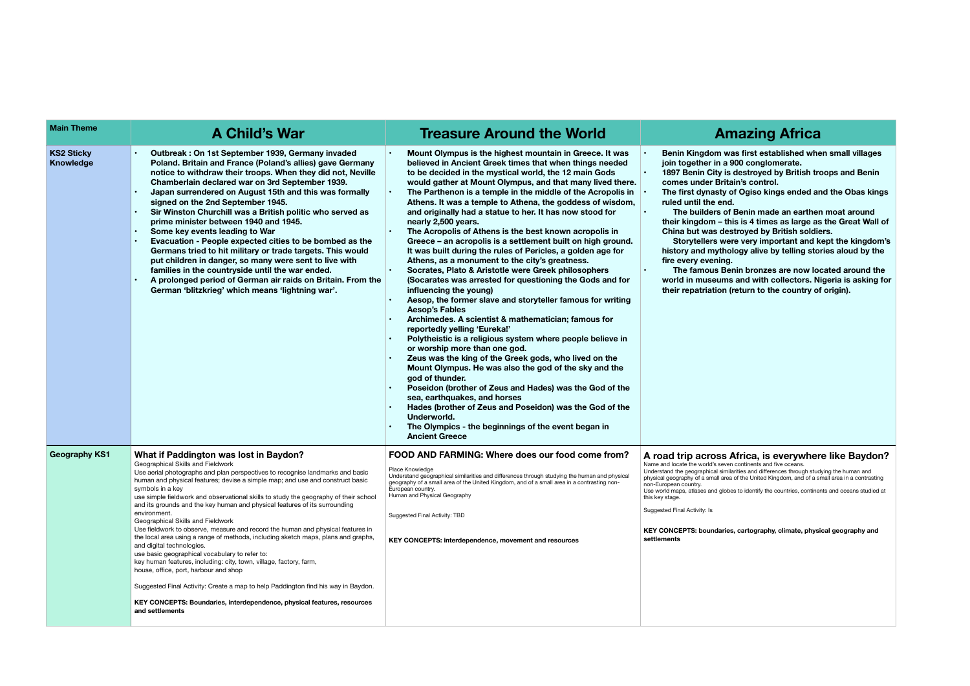**• Benin Kingdom was first established when small villages 900 conglomerate.** 

**• 18** destroyed by British troops and Benin tain's control.

**•** of Ogiso kings ended and the Obas kings d.

**•• Benin made an earthen moat around** this is 4 times as large as the Great Wall of **China but was destroyed by British soldiers.** 

**Starpter were very important and kept the kingdom's his obset of sology alive by telling stories aloud by the** 

**Panin bronzes are now located around the wated in mustana is asking for and with collectors. Nigeria is asking for their fratriation (return to the country of origin).** 

## **Africa, is everywhere like Baydon?**

Understand the geographical similarities and differences through studying the human and physical geography of a small area in a contrasting each of the United Kingdom, and of a small area in a contrasting

bes to identify the countries, continents and oceans studied at

| <b>Main Theme</b>                     | A Child's War                                                                                                                                                                                                                                                                                                                                                                                                                                                                                                                                                                                                                                                                                                                                                                                                                                                                                                                                                                                                                                         | <b>Treasure Around the World</b>                                                                                                                                                                                                                                                                                                                                                                                                                                                                                                                                                                                                                                                                                                                                                                                                                                                                                                                                                                                                                                                                                                                                                                                                                                                                                                                                                                                                                                                                                      | <b>Amazing Afri</b>                                                                                                                                                                                                                                                                                                                                                                                                                                                                                                                                                            |
|---------------------------------------|-------------------------------------------------------------------------------------------------------------------------------------------------------------------------------------------------------------------------------------------------------------------------------------------------------------------------------------------------------------------------------------------------------------------------------------------------------------------------------------------------------------------------------------------------------------------------------------------------------------------------------------------------------------------------------------------------------------------------------------------------------------------------------------------------------------------------------------------------------------------------------------------------------------------------------------------------------------------------------------------------------------------------------------------------------|-----------------------------------------------------------------------------------------------------------------------------------------------------------------------------------------------------------------------------------------------------------------------------------------------------------------------------------------------------------------------------------------------------------------------------------------------------------------------------------------------------------------------------------------------------------------------------------------------------------------------------------------------------------------------------------------------------------------------------------------------------------------------------------------------------------------------------------------------------------------------------------------------------------------------------------------------------------------------------------------------------------------------------------------------------------------------------------------------------------------------------------------------------------------------------------------------------------------------------------------------------------------------------------------------------------------------------------------------------------------------------------------------------------------------------------------------------------------------------------------------------------------------|--------------------------------------------------------------------------------------------------------------------------------------------------------------------------------------------------------------------------------------------------------------------------------------------------------------------------------------------------------------------------------------------------------------------------------------------------------------------------------------------------------------------------------------------------------------------------------|
| <b>KS2 Sticky</b><br><b>Knowledge</b> | Outbreak: On 1st September 1939, Germany invaded<br>Poland. Britain and France (Poland's allies) gave Germany<br>notice to withdraw their troops. When they did not, Neville<br>Chamberlain declared war on 3rd September 1939.<br>Japan surrendered on August 15th and this was formally<br>signed on the 2nd September 1945.<br>Sir Winston Churchill was a British politic who served as<br>prime minister between 1940 and 1945.<br>Some key events leading to War<br>Evacuation - People expected cities to be bombed as the<br>Germans tried to hit military or trade targets. This would<br>put children in danger, so many were sent to live with<br>families in the countryside until the war ended.<br>A prolonged period of German air raids on Britain. From the<br>German 'blitzkrieg' which means 'lightning war'.                                                                                                                                                                                                                      | Mount Olympus is the highest mountain in Greece. It was<br>believed in Ancient Greek times that when things needed<br>to be decided in the mystical world, the 12 main Gods<br>would gather at Mount Olympus, and that many lived there.<br>The Parthenon is a temple in the middle of the Acropolis in<br>Athens. It was a temple to Athena, the goddess of wisdom,<br>and originally had a statue to her. It has now stood for<br>nearly 2,500 years.<br>The Acropolis of Athens is the best known acropolis in<br>Greece - an acropolis is a settlement built on high ground.<br>It was built during the rules of Pericles, a golden age for<br>Athens, as a monument to the city's greatness.<br>Socrates, Plato & Aristotle were Greek philosophers<br>(Socarates was arrested for questioning the Gods and for<br>influencing the young)<br>Aesop, the former slave and storyteller famous for writing<br><b>Aesop's Fables</b><br>Archimedes. A scientist & mathematician; famous for<br>reportedly yelling 'Eureka!'<br>Polytheistic is a religious system where people believe in<br>or worship more than one god.<br>Zeus was the king of the Greek gods, who lived on the<br>Mount Olympus. He was also the god of the sky and the<br>god of thunder.<br>Poseidon (brother of Zeus and Hades) was the God of the<br>sea, earthquakes, and horses<br>Hades (brother of Zeus and Poseidon) was the God of the<br>Underworld.<br>The Olympics - the beginnings of the event began in<br><b>Ancient Greece</b> | Benin Kingdom was first established<br>join together in a 900 conglomerate.<br>1897 Benin City is destroyed by Britis<br>comes under Britain's control.<br>The first dynasty of Ogiso kings ende<br>ruled until the end.<br>The builders of Benin made an ear<br>their kingdom - this is 4 times as larged<br>China but was destroyed by British s<br>Storytellers were very important a<br>history and mythology alive by telling<br>fire every evening.<br>The famous Benin bronzes are no<br>world in museums and with collector<br>their repatriation (return to the count |
| <b>Geography KS1</b>                  | What if Paddington was lost in Baydon?<br>Geographical Skills and Fieldwork<br>Use aerial photographs and plan perspectives to recognise landmarks and basic<br>human and physical features; devise a simple map; and use and construct basic<br>symbols in a key<br>use simple fieldwork and observational skills to study the geography of their school<br>and its grounds and the key human and physical features of its surrounding<br>environment.<br>Geographical Skills and Fieldwork<br>Use fieldwork to observe, measure and record the human and physical features in<br>the local area using a range of methods, including sketch maps, plans and graphs,<br>and digital technologies.<br>use basic geographical vocabulary to refer to:<br>key human features, including: city, town, village, factory, farm,<br>house, office, port, harbour and shop<br>Suggested Final Activity: Create a map to help Paddington find his way in Baydon.<br>KEY CONCEPTS: Boundaries, interdependence, physical features, resources<br>and settlements | FOOD AND FARMING: Where does our food come from?<br>Place Knowledge<br>Understand geographical similarities and differences through studying the human and physical<br>geography of a small area of the United Kingdom, and of a small area in a contrasting non-<br>European country.<br>Human and Physical Geography<br>Suggested Final Activity: TBD<br><b>KEY CONCEPTS: interdependence, movement and resources</b>                                                                                                                                                                                                                                                                                                                                                                                                                                                                                                                                                                                                                                                                                                                                                                                                                                                                                                                                                                                                                                                                                               | A road trip across Africa, is everyw<br>Name and locate the world's seven continents and five oceans.<br>Understand the geographical similarities and differences throug<br>physical geography of a small area of the United Kingdom, and<br>non-European country.<br>Use world maps, atlases and globes to identify the countries, c<br>this key stage.<br>Suggested Final Activity: Is<br><b>KEY CONCEPTS: boundaries, cartography, climate,</b><br>settlements                                                                                                              |

# **A** Maring Africa

**KEY CONCEPTS: boundaries, cartography, climate, physical geography and**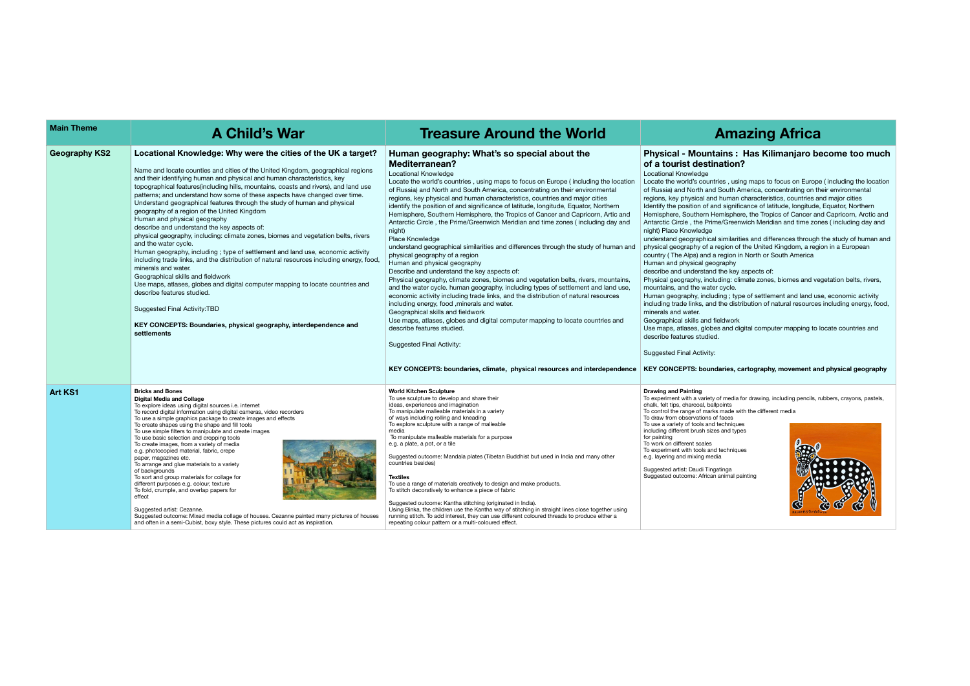## **Physical - Mountains : Has Kilimanjaro become too much**  on?

using maps to focus on Europe ( including the location th America, concentrating on their environmental nan characteristics, countries and major cities gnificance of latitude, longitude, Equator, Northern phere, the Tropics of Cancer and Capricorn, Arctic and .<br>reenwich Meridian and time zones ( including day and

ilarities and differences through the study of human and n of the United Kingdom, a region in a European on in North or South America

.<br>key aspects of:

: climate zones, biomes and vegetation belts, rivers,

; type of settlement and land use, economic activity distribution of natural resources including energy, food,

d digital computer mapping to locate countries and

| <b>Main Theme</b>    | <b>A Child's War</b>                                                                                                                                                                                                                                                                                                                                                                                                                                                                                                                                                                                                                                                                                                                                                                                                                                                                                                                                                                                                                                                                                                                                                                                    | <b>Treasure Around the World</b>                                                                                                                                                                                                                                                                                                                                                                                                                                                                                                                                                                                                                                                                                                                                                                                                                                                                                                                                                                                                                                                                                                                                                                                                                                                                                                                                                                                                                           | Am                                                                                                                                                                                                                                                                                                                                                                                                                                                                                                                                                                                                                                                                                                                                                                                                                                                                       |
|----------------------|---------------------------------------------------------------------------------------------------------------------------------------------------------------------------------------------------------------------------------------------------------------------------------------------------------------------------------------------------------------------------------------------------------------------------------------------------------------------------------------------------------------------------------------------------------------------------------------------------------------------------------------------------------------------------------------------------------------------------------------------------------------------------------------------------------------------------------------------------------------------------------------------------------------------------------------------------------------------------------------------------------------------------------------------------------------------------------------------------------------------------------------------------------------------------------------------------------|------------------------------------------------------------------------------------------------------------------------------------------------------------------------------------------------------------------------------------------------------------------------------------------------------------------------------------------------------------------------------------------------------------------------------------------------------------------------------------------------------------------------------------------------------------------------------------------------------------------------------------------------------------------------------------------------------------------------------------------------------------------------------------------------------------------------------------------------------------------------------------------------------------------------------------------------------------------------------------------------------------------------------------------------------------------------------------------------------------------------------------------------------------------------------------------------------------------------------------------------------------------------------------------------------------------------------------------------------------------------------------------------------------------------------------------------------------|--------------------------------------------------------------------------------------------------------------------------------------------------------------------------------------------------------------------------------------------------------------------------------------------------------------------------------------------------------------------------------------------------------------------------------------------------------------------------------------------------------------------------------------------------------------------------------------------------------------------------------------------------------------------------------------------------------------------------------------------------------------------------------------------------------------------------------------------------------------------------|
| <b>Geography KS2</b> | Locational Knowledge: Why were the cities of the UK a target?<br>Name and locate counties and cities of the United Kingdom, geographical regions<br>and their identifying human and physical and human characteristics, key<br>topographical features (including hills, mountains, coasts and rivers), and land use<br>patterns; and understand how some of these aspects have changed over time.<br>Understand geographical features through the study of human and physical<br>geography of a region of the United Kingdom<br>Human and physical geography<br>describe and understand the key aspects of:<br>physical geography, including: climate zones, biomes and vegetation belts, rivers<br>and the water cycle.<br>Human geography, including; type of settlement and land use, economic activity<br>including trade links, and the distribution of natural resources including energy, food,<br>minerals and water.<br>Geographical skills and fieldwork<br>Use maps, atlases, globes and digital computer mapping to locate countries and<br>describe features studied.<br>Suggested Final Activity: TBD<br>KEY CONCEPTS: Boundaries, physical geography, interdependence and<br>settlements | Human geography: What's so special about the<br><b>Mediterranean?</b><br><b>Locational Knowledge</b><br>Locate the world's countries, using maps to focus on Europe (including the location<br>of Russia) and North and South America, concentrating on their environmental<br>regions, key physical and human characteristics, countries and major cities<br>identify the position of and significance of latitude, longitude, Equator, Northern<br>Hemisphere, Southern Hemisphere, the Tropics of Cancer and Capricorn, Artic and<br>Antarctic Circle, the Prime/Greenwich Meridian and time zones (including day and<br>night)<br><b>Place Knowledge</b><br>understand geographical similarities and differences through the study of human and<br>physical geography of a region<br>Human and physical geography<br>Describe and understand the key aspects of:<br>Physical geography, climate zones, biomes and vegetation belts, rivers, mountains<br>and the water cycle. human geography, including types of settlement and land use,<br>economic activity including trade links, and the distribution of natural resources<br>including energy, food , minerals and water.<br>Geographical skills and fieldwork<br>Use maps, atlases, globes and digital computer mapping to locate countries and<br>describe features studied.<br><b>Suggested Final Activity:</b><br>KEY CONCEPTS: boundaries, climate, physical resources and interdependence | <b>Physical - Mountains:</b><br>of a tourist destination<br>Locational Knowledge<br>Locate the world's countries, usi<br>of Russia) and North and South /<br>regions, key physical and human<br>Identify the position of and signifi<br>Hemisphere, Southern Hemisphe<br>Antarctic Circle, the Prime/Green<br>night) Place Knowledge<br>understand geographical similari<br>physical geography of a region of<br>country (The Alps) and a region i<br>Human and physical geography<br>describe and understand the key<br>Physical geography, including: cl<br>mountains, and the water cycle.<br>Human geography, including; typ<br>including trade links, and the dist<br>minerals and water.<br>Geographical skills and fieldwork<br>Use maps, atlases, globes and d<br>describe features studied.<br>Suggested Final Activity:<br><b>KEY CONCEPTS: boundaries, or</b> |
| <b>Art KS1</b>       | <b>Bricks and Bones</b><br><b>Digital Media and Collage</b><br>To explore ideas using digital sources i.e. internet<br>To record digital information using digital cameras, video recorders<br>To use a simple graphics package to create images and effects<br>To create shapes using the shape and fill tools<br>To use simple filters to manipulate and create images<br>To use basic selection and cropping tools<br>To create images, from a variety of media<br>e.g. photocopied material, fabric, crepe<br>paper, magazines etc.<br>To arrange and glue materials to a variety<br>of backgrounds<br>To sort and group materials for collage for<br>different purposes e.g. colour, texture<br>To fold, crumple, and overlap papers for<br>effect<br>Suggested artist: Cezanne.<br>Suggested outcome: Mixed media collage of houses. Cezanne painted many pictures of houses<br>and often in a semi-Cubist, boxy style. These pictures could act as inspiration.                                                                                                                                                                                                                                  | <b>World Kitchen Sculpture</b><br>To use sculpture to develop and share their<br>ideas, experiences and imagination<br>To manipulate malleable materials in a variety<br>of ways including rolling and kneading<br>To explore sculpture with a range of malleable<br>media<br>To manipulate malleable materials for a purpose<br>e.g. a plate, a pot, or a tile<br>Suggested outcome: Mandala plates (Tibetan Buddhist but used in India and many other<br>countries besides)<br><b>Textiles</b><br>To use a range of materials creatively to design and make products.<br>To stitch decoratively to enhance a piece of fabric<br>Suggested outcome: Kantha stitching (originated in India).<br>Using Binka, the children use the Kantha way of stitching in straight lines close together using<br>running stitch. To add interest, they can use different coloured threads to produce either a<br>repeating colour pattern or a multi-coloured effect.                                                                                                                                                                                                                                                                                                                                                                                                                                                                                                   | <b>Drawing and Painting</b><br>To experiment with a variety of media<br>chalk, felt tips, charcoal, ballpoints<br>To control the range of marks made w<br>To draw from observations of faces<br>To use a variety of tools and technique<br>including different brush sizes and typ<br>for painting<br>To work on different scales<br>To experiment with tools and techniqu<br>e.g. layering and mixing media<br>Suggested artist: Daudi Tingatinga<br>Suggested outcome: African animal p                                                                                                                                                                                                                                                                                                                                                                                |

## **KEY CONCEPTS: boundaries, cartography, movement and physical geography**

edia for drawing, including pencils, rubbers, crayons, pastels,

To control the different media

hiques d types

niques

al painting



# **A Child's War Treasure Around the World Amazing Africa Main Theme**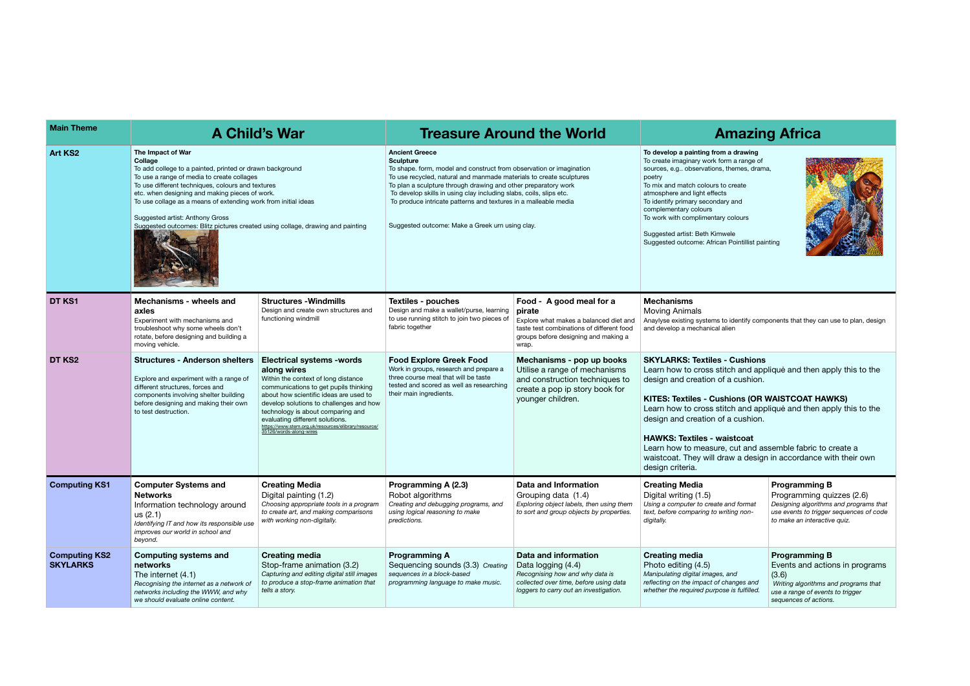| <b>Main Theme</b>                       |                                                                                                                                                                                                                                                                                                                                                                                                                                      | A Child's War                                                                                                                                                                                                                                                                                                                                                                   |                                                                                                                                                                                                                                                                                                                                                                                                                                                       | <b>Treasure Around the World</b>                                                                                                                                           |                                                                                                                                                                                                                                                                                                                                                                                                                                                                                                              | <b>Amazing Africa</b>                                                                                                                                                  |
|-----------------------------------------|--------------------------------------------------------------------------------------------------------------------------------------------------------------------------------------------------------------------------------------------------------------------------------------------------------------------------------------------------------------------------------------------------------------------------------------|---------------------------------------------------------------------------------------------------------------------------------------------------------------------------------------------------------------------------------------------------------------------------------------------------------------------------------------------------------------------------------|-------------------------------------------------------------------------------------------------------------------------------------------------------------------------------------------------------------------------------------------------------------------------------------------------------------------------------------------------------------------------------------------------------------------------------------------------------|----------------------------------------------------------------------------------------------------------------------------------------------------------------------------|--------------------------------------------------------------------------------------------------------------------------------------------------------------------------------------------------------------------------------------------------------------------------------------------------------------------------------------------------------------------------------------------------------------------------------------------------------------------------------------------------------------|------------------------------------------------------------------------------------------------------------------------------------------------------------------------|
| <b>Art KS2</b>                          | The Impact of War<br>Collage<br>To add college to a painted, printed or drawn background<br>To use a range of media to create collages<br>To use different techniques, colours and textures<br>etc. when designing and making pieces of work.<br>To use collage as a means of extending work from initial ideas<br>Suggested artist: Anthony Gross<br>Suggested outcomes: Blitz pictures created using collage, drawing and painting |                                                                                                                                                                                                                                                                                                                                                                                 | <b>Ancient Greece</b><br><b>Sculpture</b><br>To shape. form, model and construct from observation or imagination<br>To use recycled, natural and manmade materials to create sculptures<br>To plan a sculpture through drawing and other preparatory work<br>To develop skills in using clay including slabs, coils, slips etc.<br>To produce intricate patterns and textures in a malleable media<br>Suggested outcome: Make a Greek urn using clay. |                                                                                                                                                                            | To develop a painting from a drawing<br>To create imaginary work form a range of<br>sources, e.g., observations, themes, drama,<br>poetry<br>To mix and match colours to create<br>atmosphere and light effects<br>To identify primary secondary and<br>complementary colours<br>To work with complimentary colours<br>Suggested artist: Beth Kimwele<br>Suggested outcome: African Pointillist painting                                                                                                     |                                                                                                                                                                        |
| <b>DT KS1</b>                           | Mechanisms - wheels and<br>axles<br>Experiment with mechanisms and<br>troubleshoot why some wheels don't<br>rotate, before designing and building a<br>moving vehicle.                                                                                                                                                                                                                                                               | <b>Structures - Windmills</b><br>Design and create own structures and<br>functioning windmill                                                                                                                                                                                                                                                                                   | <b>Textiles - pouches</b><br>Design and make a wallet/purse, learning<br>to use running stitch to join two pieces of<br>fabric together                                                                                                                                                                                                                                                                                                               | Food - A good meal for a<br>pirate<br>Explore what makes a balanced diet and<br>taste test combinations of different food<br>groups before designing and making a<br>wrap. | <b>Mechanisms</b><br>Moving Animals<br>Anaylyse existing systems to identify components that they can use to plan, design<br>and develop a mechanical alien                                                                                                                                                                                                                                                                                                                                                  |                                                                                                                                                                        |
| DT KS <sub>2</sub>                      | <b>Structures - Anderson shelters</b><br>Explore and experiment with a range of<br>different structures, forces and<br>components involving shelter building<br>before designing and making their own<br>to test destruction.                                                                                                                                                                                                        | <b>Electrical systems -words</b><br>along wires<br>Within the context of long distance<br>communications to get pupils thinking<br>about how scientific ideas are used to<br>develop solutions to challenges and how<br>technology is about comparing and<br>evaluating different solutions.<br>https://www.stem.org.uk/resources/elibrary/resource/<br>35126/words-along-wires | <b>Food Explore Greek Food</b><br>Work in groups, research and prepare a<br>three course meal that will be taste<br>tested and scored as well as researching<br>their main ingredients.                                                                                                                                                                                                                                                               | Mechanisms - pop up books<br>Utilise a range of mechanisms<br>and construction techniques to<br>create a pop ip story book for<br>younger children.                        | <b>SKYLARKS: Textiles - Cushions</b><br>Learn how to cross stitch and applique and then apply this to the<br>design and creation of a cushion.<br><b>KITES: Textiles - Cushions (OR WAISTCOAT HAWKS)</b><br>Learn how to cross stitch and applique and then apply this to the<br>design and creation of a cushion.<br><b>HAWKS: Textiles - waistcoat</b><br>Learn how to measure, cut and assemble fabric to create a<br>waistcoat. They will draw a design in accordance with their own<br>design criteria. |                                                                                                                                                                        |
| <b>Computing KS1</b>                    | <b>Computer Systems and</b><br><b>Networks</b><br>Information technology around<br>us (2.1)<br>Identifying IT and how its responsible use<br>improves our world in school and<br>beyond.                                                                                                                                                                                                                                             | <b>Creating Media</b><br>Digital painting (1.2)<br>Choosing appropriate tools in a program<br>to create art, and making comparisons<br>with working non-digitally.                                                                                                                                                                                                              | Programming A (2.3)<br>Robot algorithms<br>Creating and debugging programs, and<br>using logical reasoning to make<br>predictions.                                                                                                                                                                                                                                                                                                                    | <b>Data and Information</b><br>Grouping data (1.4)<br>Exploring object labels, then using them<br>to sort and group objects by properties.                                 | <b>Creating Media</b><br>Digital writing (1.5)<br>Using a computer to create and format<br>text, before comparing to writing non-<br>digitally.                                                                                                                                                                                                                                                                                                                                                              | <b>Programming B</b><br>Programming quizzes (2.6)<br>Designing algorithms and programs that<br>use events to trigger sequences of code<br>to make an interactive quiz. |
| <b>Computing KS2</b><br><b>SKYLARKS</b> | <b>Computing systems and</b><br>networks<br>The internet (4.1)<br>Recognising the internet as a network of<br>networks including the WWW, and why<br>we should evaluate online content.                                                                                                                                                                                                                                              | <b>Creating media</b><br>Stop-frame animation (3.2)<br>Capturing and editing digital still images<br>to produce a stop-frame animation that<br>tells a story.                                                                                                                                                                                                                   | <b>Programming A</b><br>Sequencing sounds (3.3) Creating<br>sequences in a block-based<br>programming language to make music.                                                                                                                                                                                                                                                                                                                         | Data and information<br>Data logging (4.4)<br>Recognising how and why data is<br>collected over time, before using data<br>loggers to carry out an investigation.          | <b>Creating media</b><br>Photo editing (4.5)<br>Manipulating digital images, and<br>reflecting on the impact of changes and<br>whether the required purpose is fulfilled.                                                                                                                                                                                                                                                                                                                                    | <b>Programming B</b><br>Events and actions in programs<br>(3.6)<br>Writing algorithms and programs that<br>use a range of events to trigger<br>sequences of actions.   |

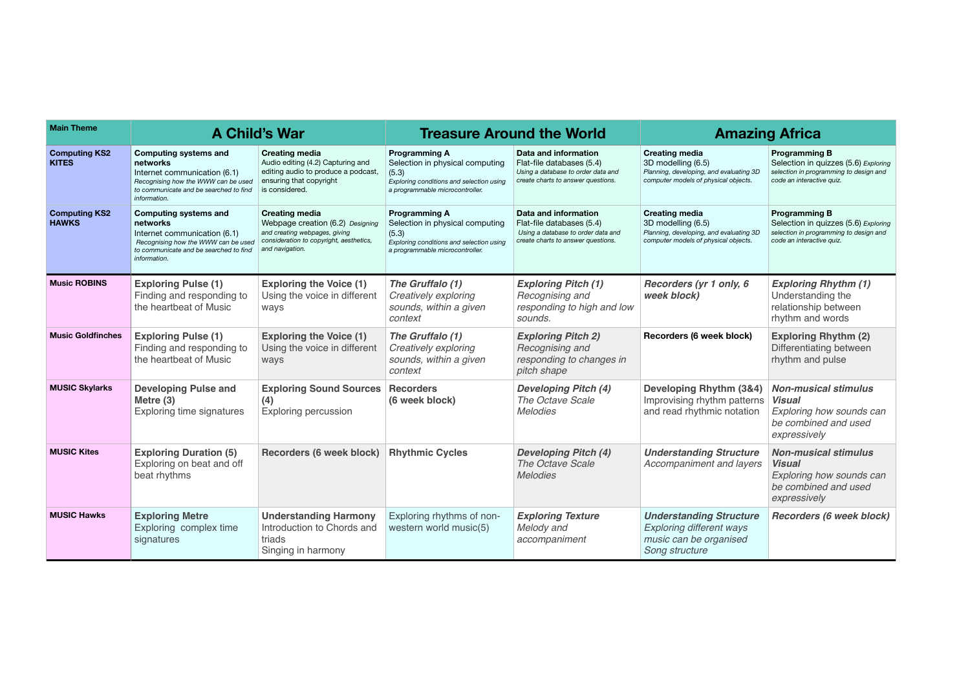| <b>Main Theme</b>                    |                                                                                                                                                                           | <b>A Child's War</b>                                                                                                                                     |                                                                                                                                                 | <b>Treasure Around the World</b>                                                                                              |                                                                                                                                | <b>Amazing Africa</b>                                                                                                               |  |
|--------------------------------------|---------------------------------------------------------------------------------------------------------------------------------------------------------------------------|----------------------------------------------------------------------------------------------------------------------------------------------------------|-------------------------------------------------------------------------------------------------------------------------------------------------|-------------------------------------------------------------------------------------------------------------------------------|--------------------------------------------------------------------------------------------------------------------------------|-------------------------------------------------------------------------------------------------------------------------------------|--|
| <b>Computing KS2</b><br><b>KITES</b> | <b>Computing systems and</b><br>networks<br>Internet communication (6.1)<br>Recognising how the WWW can be used<br>to communicate and be searched to find<br>information. | <b>Creating media</b><br>Audio editing (4.2) Capturing and<br>editing audio to produce a podcast,<br>ensuring that copyright<br>is considered.           | <b>Programming A</b><br>Selection in physical computing<br>(5.3)<br>Exploring conditions and selection using<br>a programmable microcontroller. | Data and information<br>Flat-file databases (5.4)<br>Using a database to order data and<br>create charts to answer questions. | <b>Creating media</b><br>3D modelling (6.5)<br>Planning, developing, and evaluating 3D<br>computer models of physical objects. | <b>Programming B</b><br>Selection in quizzes (5.6) Exploring<br>selection in programming to design and<br>code an interactive quiz. |  |
| <b>Computing KS2</b><br><b>HAWKS</b> | <b>Computing systems and</b><br>networks<br>Internet communication (6.1)<br>Recognising how the WWW can be used<br>to communicate and be searched to find<br>information. | <b>Creating media</b><br>Webpage creation (6.2) Designing<br>and creating webpages, giving<br>consideration to copyright, aesthetics,<br>and navigation. | <b>Programming A</b><br>Selection in physical computing<br>(5.3)<br>Exploring conditions and selection using<br>a programmable microcontroller. | Data and information<br>Flat-file databases (5.4)<br>Using a database to order data and<br>create charts to answer questions. | <b>Creating media</b><br>3D modelling (6.5)<br>Planning, developing, and evaluating 3D<br>computer models of physical objects. | <b>Programming B</b><br>Selection in quizzes (5.6) Exploring<br>selection in programming to design and<br>code an interactive quiz. |  |
| <b>Music ROBINS</b>                  | <b>Exploring Pulse (1)</b><br>Finding and responding to<br>the heartbeat of Music                                                                                         | <b>Exploring the Voice (1)</b><br>Using the voice in different<br>ways                                                                                   | The Gruffalo (1)<br>Creatively exploring<br>sounds, within a given<br>context                                                                   | <b>Exploring Pitch (1)</b><br>Recognising and<br>responding to high and low<br>sounds.                                        | Recorders (yr 1 only, 6<br>week block)                                                                                         | <b>Exploring Rhythm (1)</b><br>Understanding the<br>relationship between<br>rhythm and words                                        |  |
| <b>Music Goldfinches</b>             | <b>Exploring Pulse (1)</b><br>Finding and responding to<br>the heartbeat of Music                                                                                         | <b>Exploring the Voice (1)</b><br>Using the voice in different<br>ways                                                                                   | The Gruffalo (1)<br>Creatively exploring<br>sounds, within a given<br>context                                                                   | <b>Exploring Pitch 2)</b><br>Recognising and<br>responding to changes in<br>pitch shape                                       | Recorders (6 week block)                                                                                                       | <b>Exploring Rhythm (2)</b><br>Differentiating between<br>rhythm and pulse                                                          |  |
| <b>MUSIC Skylarks</b>                | <b>Developing Pulse and</b><br>Metre $(3)$<br>Exploring time signatures                                                                                                   | <b>Exploring Sound Sources</b><br>(4)<br><b>Exploring percussion</b>                                                                                     | <b>Recorders</b><br>(6 week block)                                                                                                              | <b>Developing Pitch (4)</b><br>The Octave Scale<br><b>Melodies</b>                                                            | Developing Rhythm (3&4)<br>Improvising rhythm patterns<br>and read rhythmic notation                                           | <b>Non-musical stimulus</b><br>Visual<br>Exploring how sounds can<br>be combined and used<br>expressively                           |  |
| <b>MUSIC Kites</b>                   | <b>Exploring Duration (5)</b><br>Exploring on beat and off<br>beat rhythms                                                                                                | Recorders (6 week block)                                                                                                                                 | <b>Rhythmic Cycles</b>                                                                                                                          | <b>Developing Pitch (4)</b><br>The Octave Scale<br><b>Melodies</b>                                                            | <b>Understanding Structure</b><br>Accompaniment and layers                                                                     | <b>Non-musical stimulus</b><br><b>Visual</b><br>Exploring how sounds can<br>be combined and used<br>expressively                    |  |
| <b>MUSIC Hawks</b>                   | <b>Exploring Metre</b><br>Exploring complex time<br>signatures                                                                                                            | <b>Understanding Harmony</b><br>Introduction to Chords and<br>triads<br>Singing in harmony                                                               | Exploring rhythms of non-<br>western world music(5)                                                                                             | <b>Exploring Texture</b><br>Melody and<br>accompaniment                                                                       | <b>Understanding Structure</b><br><b>Exploring different ways</b><br>music can be organised<br>Song structure                  | <b>Recorders (6 week block)</b>                                                                                                     |  |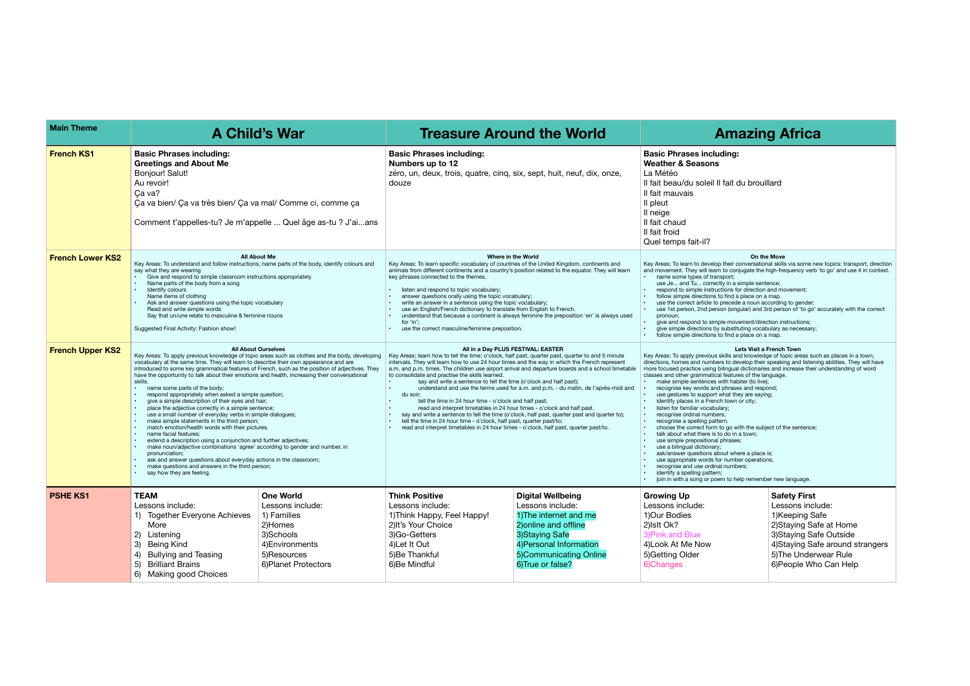Key Areas: To learn to develop their conversational skills via some new topics: transport, direction and movement. The movement of the context explose the high-frequency verb 'to go' and use it in context.

#### **On the Move**

• use 1st person, 2nd person (singular) and 3rd person of 'to go' accurately with the correct

Key Areas: To apply previous skills and knowledge of topic areas such as places in a town, directions, homes and numbers to develop their speaking and listening abilities. They will have more focused practice using bilingual dictionaries and increase their understanding of word classes and other grammatical features of the language.

| <b>Main Theme</b>       |                                                                                                                                                                                                                                                                                                                                                                                                                                                                                                                                                                                                                                                                                                                                                                                                                                                                                                                                                                                                                                                                                                                                                           | <b>A Child's War</b>                                                                                                                  |                                                                                                                                                                                                                                                                                                                                                                                                                                                                                                                                                                                                                                                                                                                                                                                                                                                                                                                                                                                | <b>Treasure Around the World</b>                                                                                                                                                             |                                                                                                                                                                                                                                                                                                                                                                                                                                                                                                                                                                                                                                                                                                                                                                                                                                                                                                                                                                                                                    | <b>Amazing Africa</b>                                                                                                               |
|-------------------------|-----------------------------------------------------------------------------------------------------------------------------------------------------------------------------------------------------------------------------------------------------------------------------------------------------------------------------------------------------------------------------------------------------------------------------------------------------------------------------------------------------------------------------------------------------------------------------------------------------------------------------------------------------------------------------------------------------------------------------------------------------------------------------------------------------------------------------------------------------------------------------------------------------------------------------------------------------------------------------------------------------------------------------------------------------------------------------------------------------------------------------------------------------------|---------------------------------------------------------------------------------------------------------------------------------------|--------------------------------------------------------------------------------------------------------------------------------------------------------------------------------------------------------------------------------------------------------------------------------------------------------------------------------------------------------------------------------------------------------------------------------------------------------------------------------------------------------------------------------------------------------------------------------------------------------------------------------------------------------------------------------------------------------------------------------------------------------------------------------------------------------------------------------------------------------------------------------------------------------------------------------------------------------------------------------|----------------------------------------------------------------------------------------------------------------------------------------------------------------------------------------------|--------------------------------------------------------------------------------------------------------------------------------------------------------------------------------------------------------------------------------------------------------------------------------------------------------------------------------------------------------------------------------------------------------------------------------------------------------------------------------------------------------------------------------------------------------------------------------------------------------------------------------------------------------------------------------------------------------------------------------------------------------------------------------------------------------------------------------------------------------------------------------------------------------------------------------------------------------------------------------------------------------------------|-------------------------------------------------------------------------------------------------------------------------------------|
| <b>French KS1</b>       | <b>Basic Phrases including:</b><br><b>Greetings and About Me</b><br><b>Bonjour! Salut!</b><br>Au revoir!<br>Ça va?<br>Ça va bien/ Ça va très bien/ Ça va mal/ Comme ci, comme ça<br>Comment t'appelles-tu? Je m'appelle  Quel âge as-tu ? J'aians                                                                                                                                                                                                                                                                                                                                                                                                                                                                                                                                                                                                                                                                                                                                                                                                                                                                                                         |                                                                                                                                       | <b>Basic Phrases including:</b><br>Numbers up to 12<br>zéro, un, deux, trois, quatre, cinq, six, sept, huit, neuf, dix, onze,<br>douze                                                                                                                                                                                                                                                                                                                                                                                                                                                                                                                                                                                                                                                                                                                                                                                                                                         |                                                                                                                                                                                              | <b>Basic Phrases including:</b><br><b>Weather &amp; Seasons</b><br>La Météo<br>Il fait beau/du soleil Il fait du brouillard<br>Il fait mauvais<br>Il pleut<br>Il neige<br>Il fait chaud<br>Il fait froid<br>Quel temps fait-il?                                                                                                                                                                                                                                                                                                                                                                                                                                                                                                                                                                                                                                                                                                                                                                                    |                                                                                                                                     |
| <b>French Lower KS2</b> | Key Areas: To understand and follow instructions, name parts of the body, identify colours and<br>say what they are wearing<br>Give and respond to simple classroom instructions appropriately<br>Name parts of the body from a song<br>Identify colours<br>Name items of clothing<br>Ask and answer questions using the topic vocabulary<br>Read and write simple words<br>Say that un/une relate to masculine & feminine nouns<br>Suggested Final Activity: Fashion show!                                                                                                                                                                                                                                                                                                                                                                                                                                                                                                                                                                                                                                                                               | <b>All About Me</b>                                                                                                                   | Where in the World<br>Key Areas: To learn specific vocabulary of countries of the United Kingdom, continents and<br>animals from different continents and a country's position related to the equator. They will learn<br>key phrases connected to the themes.<br>listen and respond to topic vocabulary;<br>answer questions orally using the topic vocabulary;<br>write an answer in a sentence using the topic vocabulary;<br>use an English/French dictionary to translate from English to French.<br>understand that because a continent is always feminine the preposition 'en' is always used<br>for 'in';<br>use the correct masculine/feminine preposition.                                                                                                                                                                                                                                                                                                           |                                                                                                                                                                                              | Key Areas: To learn to develop their conversational skills via some n<br>and movement. They will learn to conjugate the high-frequency verk<br>name some types of transport;<br>use Je and Tu correctly in a simple sentence;<br>respond to simple instructions for direction and movement;<br>follow simple directions to find a place on a map.<br>use the correct article to precede a noun according to gender;<br>use 1st person, 2nd person (singular) and 3rd person of 'to go'<br>$\bullet$<br>pronoun;<br>give and respond to simple movement/direction instructions;<br>$\bullet$<br>give simple directions by substituting vocabulary as necessary<br>follow simple directions to find a place on a map.                                                                                                                                                                                                                                                                                                | On the Move                                                                                                                         |
| <b>French Upper KS2</b> | <b>All About Ourselves</b><br>Key Areas: To apply previous knowledge of topic areas such as clothes and the body, developing<br>vocabulary at the same time. They will learn to describe their own appearance and are<br>introduced to some key grammatical features of French, such as the position of adjectives. They<br>have the opportunity to talk about their emotions and health, increasing their conversational<br>skills.<br>name some parts of the body;<br>respond appropriately when asked a simple question;<br>give a simple description of their eyes and hair;<br>place the adjective correctly in a simple sentence;<br>use a small number of everyday verbs in simple dialogues;<br>make simple statements in the third person;<br>match emotion/health words with their pictures.<br>name facial features;<br>extend a description using a conjunction and further adjectives;<br>make noun/adjective combinations 'agree' according to gender and number, in<br>pronunciation;<br>ask and answer questions about everyday actions in the classroom;<br>make questions and answers in the third person;<br>say how they are feeling. |                                                                                                                                       | All in a Day PLUS FESTIVAL: EASTER<br>Key Areas: learn how to tell the time: o'clock, half past, quarter past, quarter to and 5 minute<br>intervals. They will learn how to use 24 hour times and the way in which the French represent<br>a.m. and p.m. times. The children use airport arrival and departure boards and a school timetable<br>to consolidate and practise the skills learned.<br>say and write a sentence to tell the time (o'clock and half past);<br>understand and use the terms used for a.m. and p.m. - du matin, de l'après-midi and<br>du soir;<br>tell the time in 24 hour time - o'clock and half past;<br>read and interpret timetables in 24 hour times - o'clock and half past.<br>say and write a sentence to tell the time (o'clock, half past, quarter past and quarter to);<br>tell the time in 24 hour time - o'clock, half past, quarter past/to;<br>read and interpret timetables in 24 hour times - o'clock, half past, quarter past/to. |                                                                                                                                                                                              | Key Areas: To apply previous skills and knowledge of topic areas su<br>directions, homes and numbers to develop their speaking and lister<br>more focused practice using bilingual dictionaries and increase their<br>classes and other grammatical features of the language.<br>make simple sentences with habiter (to live);<br>recognise key words and phrases and respond;<br>use gestures to support what they are saying;<br>identify places in a French town or city;<br>listen for familiar vocabulary;<br>recognise ordinal numbers;<br>recognise a spelling pattern.<br>choose the correct form to go with the subject of the sentence<br>talk about what there is to do in a town;<br>$\bullet$<br>use simple prepositional phrases;<br>use a bilingual dictionary;<br>ask/answer questions about where a place is;<br>use appropriate words for number operations;<br>recognise and use ordinal numbers;<br>identify a spelling pattern;<br>join in with a song or poem to help remember new language. | Lets Visit a French Town                                                                                                            |
| <b>PSHE KS1</b>         | <b>TEAM</b><br>Lessons include:<br>1) Together Everyone Achieves<br>More<br>2) Listening<br>3)<br>Being Kind<br><b>Bullying and Teasing</b><br>4)<br><b>Brilliant Brains</b><br>5)<br>6) Making good Choices                                                                                                                                                                                                                                                                                                                                                                                                                                                                                                                                                                                                                                                                                                                                                                                                                                                                                                                                              | <b>One World</b><br>Lessons include:<br>1) Families<br>2)Homes<br>3)Schools<br>4) Environments<br>5)Resources<br>6) Planet Protectors | <b>Think Positive</b><br>Lessons include:<br>1) Think Happy, Feel Happy!<br>2) It's Your Choice<br>3)Go-Getters<br>4) Let It Out<br>5)Be Thankful<br>6)Be Mindful                                                                                                                                                                                                                                                                                                                                                                                                                                                                                                                                                                                                                                                                                                                                                                                                              | <b>Digital Wellbeing</b><br>Lessons include:<br>1) The internet and me<br>2) online and offline<br>3) Staying Safe<br>4) Personal Information<br>5)Communicating Online<br>6) True or false? | <b>Growing Up</b><br>Lessons include:<br>1)Our Bodies<br>2) Islt Ok?<br>3) Pink and Blue<br>4) Look At Me Now<br>5) Getting Older<br>6)Changes                                                                                                                                                                                                                                                                                                                                                                                                                                                                                                                                                                                                                                                                                                                                                                                                                                                                     | <b>Safety First</b><br>Lessons inc<br>1)Keeping S<br>2) Staying Sa<br>3) Staying Sa<br>4) Staying Sa<br>5) The Under<br>6)People Wh |

# **A** A Trica

#### ነg:

#### **Lets Visit a French Town**

#### **Safety First**

Lessons include: 1)Keeping Safe 2)Staying Safe at Home 3)Staying Safe Outside 4)Staying Safe around strangers 5)The Underwear Rule 6)People Who Can Help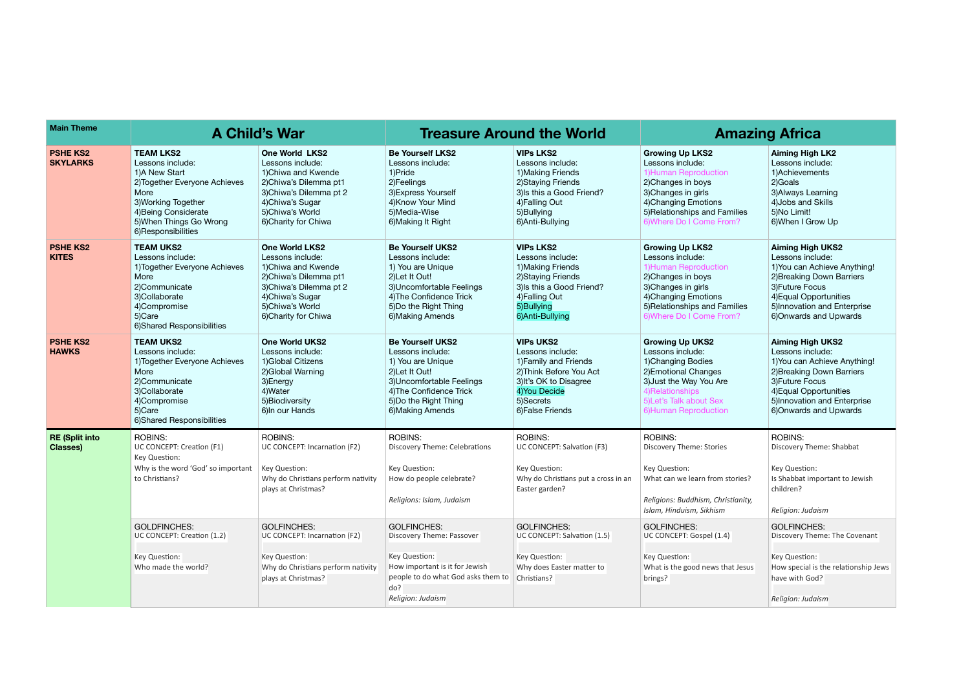| <b>Main Theme</b>                        |                                                                                                                                                                                                | <b>A Child's War</b>                                                                                                                                                                 |                                                                                                                                                                                         | <b>Treasure Around the World</b>                                                                                                                                     | <b>Amazing Africa</b>                                                                                                                                                                                 |                                                                                                                                                                                                                 |
|------------------------------------------|------------------------------------------------------------------------------------------------------------------------------------------------------------------------------------------------|--------------------------------------------------------------------------------------------------------------------------------------------------------------------------------------|-----------------------------------------------------------------------------------------------------------------------------------------------------------------------------------------|----------------------------------------------------------------------------------------------------------------------------------------------------------------------|-------------------------------------------------------------------------------------------------------------------------------------------------------------------------------------------------------|-----------------------------------------------------------------------------------------------------------------------------------------------------------------------------------------------------------------|
| <b>PSHE KS2</b><br><b>SKYLARKS</b>       | <b>TEAM LKS2</b><br>Lessons include:<br>1)A New Start<br>2) Together Everyone Achieves<br>More<br>3) Working Together<br>4) Being Considerate<br>5) When Things Go Wrong<br>6)Responsibilities | One World LKS2<br>Lessons include:<br>1) Chiwa and Kwende<br>2) Chiwa's Dilemma pt1<br>3) Chiwa's Dilemma pt 2<br>4) Chiwa's Sugar<br>5) Chiwa's World<br>6) Charity for Chiwa       | <b>Be Yourself LKS2</b><br>Lessons include:<br>1)Pride<br>2)Feelings<br>3) Express Yourself<br>4) Know Your Mind<br>5)Media-Wise<br>6) Making It Right                                  | <b>VIPs LKS2</b><br>Lessons include:<br>1) Making Friends<br>2) Staying Friends<br>3) Is this a Good Friend?<br>4) Falling Out<br>5)Bullying<br>6) Anti-Bullying     | <b>Growing Up LKS2</b><br>Lessons include:<br>1) Human Reproduction<br>2) Changes in boys<br>3) Changes in girls<br>4) Changing Emotions<br>5) Relationships and Families<br>6) Where Do I Come From? | <b>Aiming High LK2</b><br>Lessons include:<br>1)Achievements<br>2) Goals<br>3) Always Learning<br>4) Jobs and Skills<br>5) No Limit!<br>6) When I Grow Up                                                       |
| <b>PSHE KS2</b><br><b>KITES</b>          | <b>TEAM UKS2</b><br>Lessons include:<br>1) Together Everyone Achieves<br>More<br>2)Communicate<br>3)Collaborate<br>4)Compromise<br>5)Care<br>6) Shared Responsibilities                        | <b>One World LKS2</b><br>Lessons include:<br>1) Chiwa and Kwende<br>2) Chiwa's Dilemma pt1<br>3) Chiwa's Dilemma pt 2<br>4) Chiwa's Sugar<br>5)Chiwa's World<br>6) Charity for Chiwa | <b>Be Yourself UKS2</b><br>Lessons include:<br>1) You are Unique<br>2) Let It Out!<br>3) Uncomfortable Feelings<br>4) The Confidence Trick<br>5) Do the Right Thing<br>6) Making Amends | <b>VIPs LKS2</b><br>Lessons include:<br>1) Making Friends<br>2) Staying Friends<br>3) Is this a Good Friend?<br>4) Falling Out<br>5)Bullying<br>6)Anti-Bullying      | <b>Growing Up LKS2</b><br>Lessons include:<br>1) Human Reproduction<br>2) Changes in boys<br>3) Changes in girls<br>4) Changing Emotions<br>5) Relationships and Families<br>6) Where Do I Come From? | <b>Aiming High UKS2</b><br>Lessons include:<br>1) You can Achieve Anything!<br>2) Breaking Down Barriers<br>3) Future Focus<br>4) Equal Opportunities<br>5) Innovation and Enterprise<br>6) Onwards and Upwards |
| <b>PSHE KS2</b><br><b>HAWKS</b>          | <b>TEAM UKS2</b><br>Lessons include:<br>1) Together Everyone Achieves<br>More<br>2)Communicate<br>3)Collaborate<br>4)Compromise<br>5)Care<br>6) Shared Responsibilities                        | <b>One World UKS2</b><br>Lessons include:<br>1) Global Citizens<br>2) Global Warning<br>3)Energy<br>4) Water<br>5) Biodiversity<br>6) In our Hands                                   | <b>Be Yourself UKS2</b><br>Lessons include:<br>1) You are Unique<br>2) Let It Out!<br>3) Uncomfortable Feelings<br>4) The Confidence Trick<br>5) Do the Right Thing<br>6) Making Amends | <b>VIPs UKS2</b><br>Lessons include:<br>1) Family and Friends<br>2) Think Before You Act<br>3) It's OK to Disagree<br>4) You Decide<br>5)Secrets<br>6) False Friends | <b>Growing Up UKS2</b><br>Lessons include:<br>1) Changing Bodies<br>2) Emotional Changes<br>3) Just the Way You Are<br>4) Relationships<br>5) Let's Talk about Sex<br>6) Human Reproduction           | <b>Aiming High UKS2</b><br>Lessons include:<br>1) You can Achieve Anything!<br>2) Breaking Down Barriers<br>3) Future Focus<br>4) Equal Opportunities<br>5) Innovation and Enterprise<br>6) Onwards and Upwards |
| <b>RE (Split into</b><br><b>Classes)</b> | <b>ROBINS:</b><br>UC CONCEPT: Creation (F1)<br>Key Question:<br>Why is the word 'God' so important<br>to Christians?                                                                           | <b>ROBINS:</b><br>UC CONCEPT: Incarnation (F2)<br>Key Question:<br>Why do Christians perform nativity<br>plays at Christmas?                                                         | <b>ROBINS:</b><br>Discovery Theme: Celebrations<br>Key Question:<br>How do people celebrate?<br>Religions: Islam, Judaism                                                               | <b>ROBINS:</b><br>UC CONCEPT: Salvation (F3)<br>Key Question:<br>Why do Christians put a cross in an<br>Easter garden?                                               | <b>ROBINS:</b><br><b>Discovery Theme: Stories</b><br>Key Question:<br>What can we learn from stories?<br>Religions: Buddhism, Christianity,<br>Islam, Hinduism, Sikhism                               | <b>ROBINS:</b><br>Discovery Theme: Shabbat<br>Key Question:<br>Is Shabbat important to Jewish<br>children?<br>Religion: Judaism                                                                                 |
|                                          | <b>GOLDFINCHES:</b><br>UC CONCEPT: Creation (1.2)<br>Key Question:<br>Who made the world?                                                                                                      | <b>GOLFINCHES:</b><br>UC CONCEPT: Incarnation (F2)<br>Key Question:<br>Why do Christians perform nativity<br>plays at Christmas?                                                     | <b>GOLFINCHES:</b><br>Discovery Theme: Passover<br>Key Question:<br>How important is it for Jewish<br>people to do what God asks them to<br>do?<br>Religion: Judaism                    | <b>GOLFINCHES:</b><br>UC CONCEPT: Salvation (1.5)<br>Key Question:<br>Why does Easter matter to<br>Christians?                                                       | <b>GOLFINCHES:</b><br>UC CONCEPT: Gospel (1.4)<br>Key Question:<br>What is the good news that Jesus<br>brings?                                                                                        | <b>GOLFINCHES:</b><br>Discovery Theme: The Covenant<br>Key Question:<br>How special is the relationship Jews<br>have with God?<br>Religion: Judaism                                                             |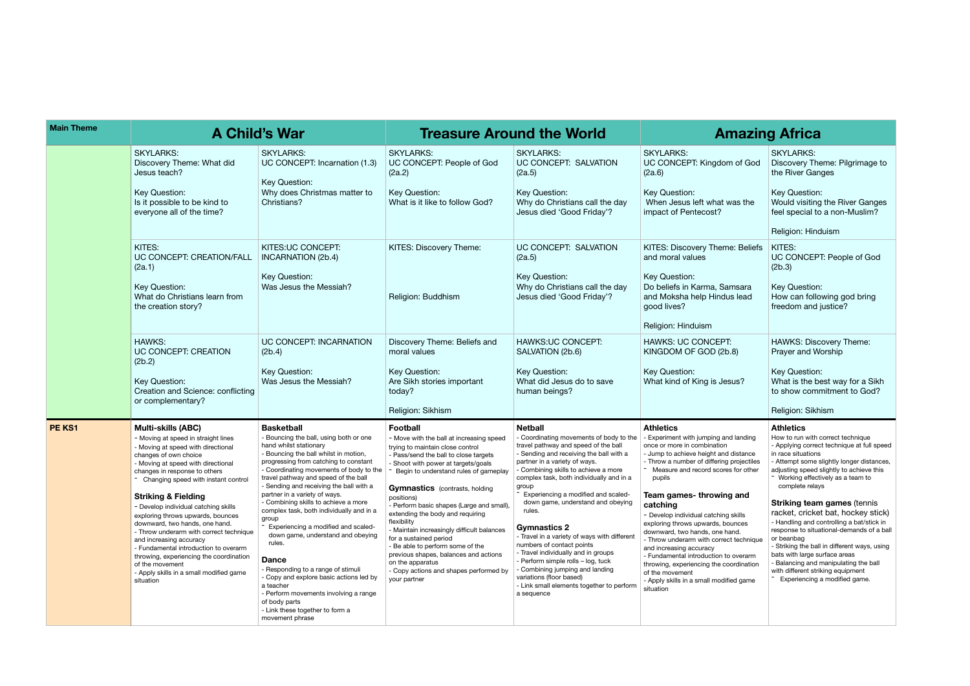| Key Question:<br>Would visiting the River Ganges<br>as the<br>feel special to a non-Muslim?<br>Religion: Hinduism<br>: Beliefs<br>KITES:<br>UC CONCEPT: People of God<br>(2b.3)<br>Key Question:<br>าsara<br>lead<br>How can following god bring<br>freedom and justice?<br>HAWKS: Discovery Theme:<br>3)<br>Prayer and Worship<br>Key Question:<br>What is the best way for a Sikh<br>us?<br>to show commitment to God?<br>Religion: Sikhism<br>Athletics<br>landing<br>How to run with correct technique<br>in race situations<br>listance<br>rojectiles<br>adjusting speed slightly to achieve this<br>for other<br>Working effectively as a team to<br>complete relays<br>and<br><b>Striking team games (tennis</b><br>racket, cricket bat, hockey stick)<br>ikills<br>- Handling and controlling a bat/stick in<br>nces<br>ıd.<br>or beanbag<br>technique<br>- Striking the ball in different ways, using<br>bats with large surface areas<br>overarm<br>- Balancing and manipulating the ball<br>rdination<br>with different striking equipment<br>Experiencing a modified game. | of God | <b>SKYLARKS:</b><br>Discovery Theme: Pilgrimage to<br>the River Ganges                                                               |
|----------------------------------------------------------------------------------------------------------------------------------------------------------------------------------------------------------------------------------------------------------------------------------------------------------------------------------------------------------------------------------------------------------------------------------------------------------------------------------------------------------------------------------------------------------------------------------------------------------------------------------------------------------------------------------------------------------------------------------------------------------------------------------------------------------------------------------------------------------------------------------------------------------------------------------------------------------------------------------------------------------------------------------------------------------------------------------------|--------|--------------------------------------------------------------------------------------------------------------------------------------|
|                                                                                                                                                                                                                                                                                                                                                                                                                                                                                                                                                                                                                                                                                                                                                                                                                                                                                                                                                                                                                                                                                        |        |                                                                                                                                      |
|                                                                                                                                                                                                                                                                                                                                                                                                                                                                                                                                                                                                                                                                                                                                                                                                                                                                                                                                                                                                                                                                                        |        |                                                                                                                                      |
|                                                                                                                                                                                                                                                                                                                                                                                                                                                                                                                                                                                                                                                                                                                                                                                                                                                                                                                                                                                                                                                                                        |        |                                                                                                                                      |
|                                                                                                                                                                                                                                                                                                                                                                                                                                                                                                                                                                                                                                                                                                                                                                                                                                                                                                                                                                                                                                                                                        |        |                                                                                                                                      |
|                                                                                                                                                                                                                                                                                                                                                                                                                                                                                                                                                                                                                                                                                                                                                                                                                                                                                                                                                                                                                                                                                        |        |                                                                                                                                      |
|                                                                                                                                                                                                                                                                                                                                                                                                                                                                                                                                                                                                                                                                                                                                                                                                                                                                                                                                                                                                                                                                                        |        |                                                                                                                                      |
|                                                                                                                                                                                                                                                                                                                                                                                                                                                                                                                                                                                                                                                                                                                                                                                                                                                                                                                                                                                                                                                                                        |        |                                                                                                                                      |
|                                                                                                                                                                                                                                                                                                                                                                                                                                                                                                                                                                                                                                                                                                                                                                                                                                                                                                                                                                                                                                                                                        | d game | - Applying correct technique at full speed<br>- Attempt some slightly longer distances,<br>response to situational-demands of a ball |

| <b>Main Theme</b> | <b>A Child's War</b>                                                                                                                                                                                                                                                                                                                                                                                                                                                                                                                                                                                                                |                                                                                                                                                                                                                                                                                                                                                                                                                                                                                                                                                                                                                                                                                                                                                       | <b>Treasure Around the World</b>                                                                                                                                                                                                                                                                                                                                                                                                                                                                                                                                                                                   | <b>Amazin</b>                                                                                                                                                                                                                                                                                                                                                                                                                                                                                                                                                                                                                                                               |                                                                                                                                                                                                                                                                                                                                                                                                                                                                                                                                                                                                                            |
|-------------------|-------------------------------------------------------------------------------------------------------------------------------------------------------------------------------------------------------------------------------------------------------------------------------------------------------------------------------------------------------------------------------------------------------------------------------------------------------------------------------------------------------------------------------------------------------------------------------------------------------------------------------------|-------------------------------------------------------------------------------------------------------------------------------------------------------------------------------------------------------------------------------------------------------------------------------------------------------------------------------------------------------------------------------------------------------------------------------------------------------------------------------------------------------------------------------------------------------------------------------------------------------------------------------------------------------------------------------------------------------------------------------------------------------|--------------------------------------------------------------------------------------------------------------------------------------------------------------------------------------------------------------------------------------------------------------------------------------------------------------------------------------------------------------------------------------------------------------------------------------------------------------------------------------------------------------------------------------------------------------------------------------------------------------------|-----------------------------------------------------------------------------------------------------------------------------------------------------------------------------------------------------------------------------------------------------------------------------------------------------------------------------------------------------------------------------------------------------------------------------------------------------------------------------------------------------------------------------------------------------------------------------------------------------------------------------------------------------------------------------|----------------------------------------------------------------------------------------------------------------------------------------------------------------------------------------------------------------------------------------------------------------------------------------------------------------------------------------------------------------------------------------------------------------------------------------------------------------------------------------------------------------------------------------------------------------------------------------------------------------------------|
|                   | <b>SKYLARKS:</b><br>Discovery Theme: What did<br>Jesus teach?<br>Key Question:<br>Is it possible to be kind to<br>everyone all of the time?                                                                                                                                                                                                                                                                                                                                                                                                                                                                                         | <b>SKYLARKS:</b><br>UC CONCEPT: Incarnation (1.3)<br>Key Question:<br>Why does Christmas matter to<br>Christians?                                                                                                                                                                                                                                                                                                                                                                                                                                                                                                                                                                                                                                     | <b>SKYLARKS:</b><br>UC CONCEPT: People of God<br>(2a.2)<br>Key Question:<br>What is it like to follow God?                                                                                                                                                                                                                                                                                                                                                                                                                                                                                                         | <b>SKYLARKS:</b><br>UC CONCEPT: SALVATION<br>(2a.5)<br>Key Question:<br>Why do Christians call the day<br>Jesus died 'Good Friday'?                                                                                                                                                                                                                                                                                                                                                                                                                                                                                                                                         | <b>SKYLARKS:</b><br>UC CONCEPT: Kingdom of God<br>(2a.6)<br>Key Question:<br>When Jesus left what was the<br>impact of Pentecost?                                                                                                                                                                                                                                                                                                                                                                                                                                                                                          |
|                   | KITES:<br>UC CONCEPT: CREATION/FALL<br>(2a.1)<br>Key Question:<br>What do Christians learn from<br>the creation story?                                                                                                                                                                                                                                                                                                                                                                                                                                                                                                              | KITES: UC CONCEPT:<br>INCARNATION (2b.4)<br>Key Question:<br>Was Jesus the Messiah?                                                                                                                                                                                                                                                                                                                                                                                                                                                                                                                                                                                                                                                                   | KITES: Discovery Theme:<br>Religion: Buddhism                                                                                                                                                                                                                                                                                                                                                                                                                                                                                                                                                                      | UC CONCEPT: SALVATION<br>(2a.5)<br>Key Question:<br>Why do Christians call the day<br>Jesus died 'Good Friday'?                                                                                                                                                                                                                                                                                                                                                                                                                                                                                                                                                             | KITES: Discovery Theme: Beliefs<br>and moral values<br>Key Question:<br>Do beliefs in Karma, Samsara<br>and Moksha help Hindus lead<br>good lives?<br>Religion: Hinduism                                                                                                                                                                                                                                                                                                                                                                                                                                                   |
|                   | <b>HAWKS:</b><br>UC CONCEPT: CREATION<br>(2b.2)<br>Key Question:<br>Creation and Science: conflicting<br>or complementary?                                                                                                                                                                                                                                                                                                                                                                                                                                                                                                          | UC CONCEPT: INCARNATION<br>(2b.4)<br>Key Question:<br>Was Jesus the Messiah?                                                                                                                                                                                                                                                                                                                                                                                                                                                                                                                                                                                                                                                                          | Discovery Theme: Beliefs and<br>moral values<br>Key Question:<br>Are Sikh stories important<br>today?<br>Religion: Sikhism                                                                                                                                                                                                                                                                                                                                                                                                                                                                                         | HAWKS: UC CONCEPT:<br>SALVATION (2b.6)<br>Key Question:<br>What did Jesus do to save<br>human beings?                                                                                                                                                                                                                                                                                                                                                                                                                                                                                                                                                                       | <b>HAWKS: UC CONCEPT:</b><br>KINGDOM OF GOD (2b.8)<br>Key Question:<br>What kind of King is Jesus?                                                                                                                                                                                                                                                                                                                                                                                                                                                                                                                         |
| PE KS1            | <b>Multi-skills (ABC)</b><br>- Moving at speed in straight lines<br>- Moving at speed with directional<br>changes of own choice<br>- Moving at speed with directional<br>changes in response to others<br>Changing speed with instant control<br><b>Striking &amp; Fielding</b><br>- Develop individual catching skills<br>exploring throws upwards, bounces<br>downward, two hands, one hand.<br>- Throw underarm with correct technique<br>and increasing accuracy<br>- Fundamental introduction to overarm<br>throwing, experiencing the coordination<br>of the movement<br>- Apply skills in a small modified game<br>situation | <b>Basketball</b><br>- Bouncing the ball, using both or one<br>hand whilst stationary<br>Bouncing the ball whilst in motion,<br>progressing from catching to constant<br>- Coordinating movements of body to the<br>travel pathway and speed of the ball<br>- Sending and receiving the ball with a<br>partner in a variety of ways.<br>- Combining skills to achieve a more<br>complex task, both individually and in a<br>group<br>Experiencing a modified and scaled-<br>down game, understand and obeying<br>rules.<br><b>Dance</b><br>- Responding to a range of stimuli<br>- Copy and explore basic actions led by<br>a teacher<br>- Perform movements involving a range<br>of body parts<br>- Link these together to form a<br>movement phrase | <b>Football</b><br>- Move with the ball at increasing speed<br>trying to maintain close control<br>- Pass/send the ball to close targets<br>- Shoot with power at targets/goals<br>Begin to understand rules of gameplay<br><b>Gymnastics</b> (contrasts, holding<br>positions)<br>- Perform basic shapes (Large and small),<br>extending the body and requiring<br>flexibility<br>- Maintain increasingly difficult balances<br>for a sustained period<br>- Be able to perform some of the<br>previous shapes, balances and actions<br>on the apparatus<br>- Copy actions and shapes performed by<br>your partner | <b>Netball</b><br>- Coordinating movements of body to the<br>travel pathway and speed of the ball<br>- Sending and receiving the ball with a<br>partner in a variety of ways.<br>- Combining skills to achieve a more<br>complex task, both individually and in a<br>group<br>Experiencing a modified and scaled-<br>down game, understand and obeying<br>rules.<br><b>Gymnastics 2</b><br>- Travel in a variety of ways with different<br>numbers of contact points<br>- Travel individually and in groups<br>- Perform simple rolls - log, tuck<br>- Combining jumping and landing<br>variations (floor based)<br>- Link small elements together to perform<br>a sequence | <b>Athletics</b><br>- Experiment with jumping and landing<br>once or more in combination<br>- Jump to achieve height and distance<br>- Throw a number of differing projectiles<br>Measure and record scores for other<br>pupils<br>Team games-throwing and<br>catching<br>- Develop individual catching skills<br>exploring throws upwards, bounces<br>downward, two hands, one hand.<br>- Throw underarm with correct technique<br>and increasing accuracy<br>- Fundamental introduction to overarm<br>throwing, experiencing the coordination<br>of the movement<br>- Apply skills in a small modified game<br>situation |

# **A Child's War Treasure Around the World Amazing Africa Main Theme**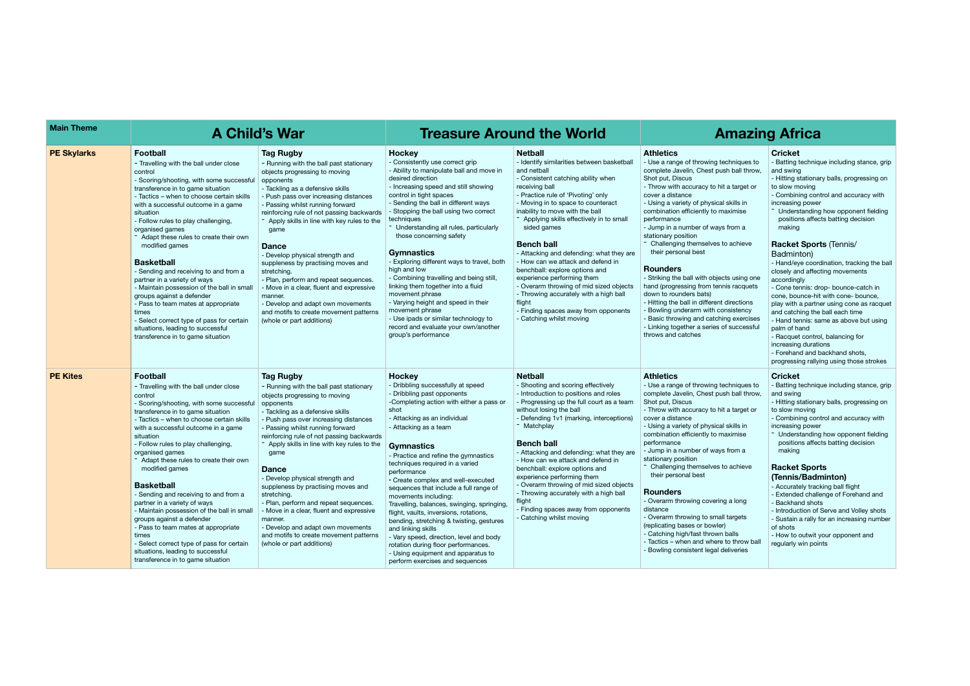| <b>Main Theme</b>  | <b>A Child's War</b>                                                                                                                                                                                                                                                                                                                                                                                                                                                                                                                                                                                                                                                                                                        |                                                                                                                                                                                                                                                                                                                                                                                                                                                                                                                                                                                                                                                     | <b>Treasure Around the World</b>                                                                                                                                                                                                                                                                                                                                                                                                                                                                                                                                                                                                                                                                                                          | <b>Amazir</b>                                                                                                                                                                                                                                                                                                                                                                                                                                                                                                                                                                                                                                           |                                                                                                                                                                                                                                                                                                                                                                                                                                                                                                                                                                                                                                                                                                                                                                |
|--------------------|-----------------------------------------------------------------------------------------------------------------------------------------------------------------------------------------------------------------------------------------------------------------------------------------------------------------------------------------------------------------------------------------------------------------------------------------------------------------------------------------------------------------------------------------------------------------------------------------------------------------------------------------------------------------------------------------------------------------------------|-----------------------------------------------------------------------------------------------------------------------------------------------------------------------------------------------------------------------------------------------------------------------------------------------------------------------------------------------------------------------------------------------------------------------------------------------------------------------------------------------------------------------------------------------------------------------------------------------------------------------------------------------------|-------------------------------------------------------------------------------------------------------------------------------------------------------------------------------------------------------------------------------------------------------------------------------------------------------------------------------------------------------------------------------------------------------------------------------------------------------------------------------------------------------------------------------------------------------------------------------------------------------------------------------------------------------------------------------------------------------------------------------------------|---------------------------------------------------------------------------------------------------------------------------------------------------------------------------------------------------------------------------------------------------------------------------------------------------------------------------------------------------------------------------------------------------------------------------------------------------------------------------------------------------------------------------------------------------------------------------------------------------------------------------------------------------------|----------------------------------------------------------------------------------------------------------------------------------------------------------------------------------------------------------------------------------------------------------------------------------------------------------------------------------------------------------------------------------------------------------------------------------------------------------------------------------------------------------------------------------------------------------------------------------------------------------------------------------------------------------------------------------------------------------------------------------------------------------------|
| <b>PE Skylarks</b> | <b>Football</b><br>- Travelling with the ball under close<br>control<br>- Scoring/shooting, with some successful<br>transference in to game situation<br>- Tactics - when to choose certain skills<br>with a successful outcome in a game<br>situation<br>- Follow rules to play challenging,<br>organised games<br>Adapt these rules to create their own<br>modified games<br><b>Basketball</b><br>- Sending and receiving to and from a<br>partner in a variety of ways<br>- Maintain possession of the ball in small<br>groups against a defender<br>- Pass to team mates at appropriate<br>times<br>- Select correct type of pass for certain<br>situations, leading to successful<br>transference in to game situation | <b>Tag Rugby</b><br>- Running with the ball past stationary<br>objects progressing to moving<br>opponents<br>- Tackling as a defensive skills<br>- Push pass over increasing distances<br>- Passing whilst running forward<br>reinforcing rule of not passing backwards<br>Apply skills in line with key rules to the<br>game<br><b>Dance</b><br>- Develop physical strength and<br>suppleness by practising moves and<br>stretching.<br>- Plan, perform and repeat sequences.<br>- Move in a clear, fluent and expressive<br>manner.<br>- Develop and adapt own movements<br>and motifs to create movement patterns<br>(whole or part additions)   | Hockey<br>- Consistently use correct grip<br>- Ability to manipulate ball and move in<br>desired direction<br>- Increasing speed and still showing<br>control in tight spaces<br>- Sending the ball in different ways<br>- Stopping the ball using two correct<br>techniques<br>- Understanding all rules, particularly<br>those concerning safety<br><b>Gymnastics</b><br>- Exploring different ways to travel, both<br>high and low<br>- Combining travelling and being still,<br>linking them together into a fluid<br>movement phrase<br>- Varying height and speed in their<br>movement phrase<br>- Use ipads or similar technology to<br>record and evaluate your own/another<br>group's performance                                | <b>Netball</b><br>- Identify similarities between basketball<br>and netball<br>- Consistent catching ability when<br>receiving ball<br>- Practice rule of 'Pivoting' only<br>- Moving in to space to counteract<br>inability to move with the ball<br>- Applying skills effectively in to small<br>sided games<br><b>Bench ball</b><br>- Attacking and defending: what they are<br>- How can we attack and defend in<br>benchball: explore options and<br>experience performing them<br>- Overarm throwing of mid sized objects<br>- Throwing accurately with a high ball<br>flight<br>- Finding spaces away from opponents<br>- Catching whilst moving | <b>Athletics</b><br>- Use a range of throwing techniques to<br>complete Javelin, Chest push ball throw,<br>Shot put, Discus<br>- Throw with accuracy to hit a target or<br>cover a distance<br>- Using a variety of physical skills in<br>combination efficiently to maximise<br>performance<br>- Jump in a number of ways from a<br>stationary position<br>- Challenging themselves to achieve<br>their personal best<br><b>Rounders</b><br>- Striking the ball with objects using one<br>hand (progressing from tennis racquets<br>down to rounders bats)<br>- Hitting the ball in different directions<br>- Bowling underarm with consistency<br>- Basic throwing and catching exercises<br>- Linking together a series of successful<br>throws and catches |
| <b>PE Kites</b>    | <b>Football</b><br>- Travelling with the ball under close<br>control<br>- Scoring/shooting, with some successful<br>transference in to game situation<br>- Tactics – when to choose certain skills<br>with a successful outcome in a game<br>situation<br>- Follow rules to play challenging,<br>organised games<br>Adapt these rules to create their own<br>modified games<br><b>Basketball</b><br>- Sending and receiving to and from a<br>partner in a variety of ways<br>- Maintain possession of the ball in small<br>groups against a defender<br>- Pass to team mates at appropriate<br>times<br>- Select correct type of pass for certain<br>situations, leading to successful<br>transference in to game situation | <b>Tag Rugby</b><br>- Running with the ball past stationary<br>objects progressing to moving<br>opponents<br>- Tackling as a defensive skills<br>- Push pass over increasing distances<br>- Passing whilst running forward<br>reinforcing rule of not passing backwards<br>- Apply skills in line with key rules to the<br>game<br><b>Dance</b><br>- Develop physical strength and<br>suppleness by practising moves and<br>stretching.<br>- Plan, perform and repeat sequences.<br>- Move in a clear, fluent and expressive<br>manner.<br>- Develop and adapt own movements<br>and motifs to create movement patterns<br>(whole or part additions) | <b>Hockey</b><br>- Dribbling successfully at speed<br>- Dribbling past opponents<br>-Completing action with either a pass or<br>shot<br>- Attacking as an individual<br>- Attacking as a team<br><b>Gymnastics</b><br>- Practice and refine the gymnastics<br>techniques required in a varied<br>performance<br>• Create complex and well-executed<br>sequences that include a full range of<br>movements including:<br>Travelling, balances, swinging, springing,<br>flight, vaults, inversions, rotations,<br>bending, stretching & twisting, gestures<br>and linking skills<br>- Vary speed, direction, level and body<br>rotation during floor performances.<br>- Using equipment and apparatus to<br>perform exercises and sequences | <b>Netball</b><br>- Shooting and scoring effectively<br>- Introduction to positions and roles<br>- Progressing up the full court as a team<br>without losing the ball<br>- Defending 1v1 (marking, interceptions)<br>- Matchplay<br><b>Bench ball</b><br>- Attacking and defending: what they are<br>- How can we attack and defend in<br>benchball: explore options and<br>experience performing them<br>- Overarm throwing of mid sized objects<br>- Throwing accurately with a high ball<br>flight<br>- Finding spaces away from opponents<br>- Catching whilst moving                                                                               | <b>Athletics</b><br>- Use a range of throwing techniques to<br>complete Javelin, Chest push ball throw,<br>Shot put, Discus<br>- Throw with accuracy to hit a target or<br>cover a distance<br>- Using a variety of physical skills in<br>combination efficiently to maximise<br>performance<br>- Jump in a number of ways from a<br>stationary position<br>Challenging themselves to achieve<br>their personal best<br><b>Rounders</b><br>- Overarm throwing covering a long<br>distance<br>- Overarm throwing to small targets<br>(replicating bases or bowler)<br>- Catching high/fast thrown balls<br>- Tactics - when and where to throw ball<br>- Bowling consistent legal deliveries                                                                    |

# **A** Maxing Africa

|                                                                               | Cricket                                                                                                                                                                                                                                                                                                                                                                                                                                                                                                 |
|-------------------------------------------------------------------------------|---------------------------------------------------------------------------------------------------------------------------------------------------------------------------------------------------------------------------------------------------------------------------------------------------------------------------------------------------------------------------------------------------------------------------------------------------------------------------------------------------------|
| าiques to<br>ball throw,                                                      | - Batting technique including stance, grip<br>and swing<br>- Hitting stationary balls, progressing on                                                                                                                                                                                                                                                                                                                                                                                                   |
| arget or                                                                      | to slow moving<br>- Combining control and accuracy with                                                                                                                                                                                                                                                                                                                                                                                                                                                 |
| lls in<br>nise<br>ım a                                                        | increasing power<br>Understanding how opponent fielding<br>positions affects batting decision<br>making                                                                                                                                                                                                                                                                                                                                                                                                 |
| chieve<br>using one<br>acquets<br>ections<br>stency<br>exercises<br>ıccessful | Racket Sports (Tennis/<br>Badminton)<br>- Hand/eye coordination, tracking the ball<br>closely and affecting movements<br>accordingly<br>- Cone tennis: drop- bounce-catch in<br>cone, bounce-hit with cone- bounce,<br>play with a partner using cone as racquet<br>and catching the ball each time<br>- Hand tennis: same as above but using<br>palm of hand<br>- Racquet control, balancing for<br>increasing durations<br>- Forehand and backhand shots,<br>progressing rallying using those strokes |
| niques to<br>ball throw,<br>arget or<br>lls in<br>nise<br>ım a                | Cricket<br>- Batting technique including stance, grip<br>and swing<br>- Hitting stationary balls, progressing on<br>to slow moving<br>- Combining control and accuracy with<br>increasing power<br>Understanding how opponent fielding<br>positions affects batting decision<br>making                                                                                                                                                                                                                  |
|                                                                               |                                                                                                                                                                                                                                                                                                                                                                                                                                                                                                         |
| chieve                                                                        | <b>Racket Sports</b><br>(Tennis/Badminton)<br>- Accurately tracking ball flight                                                                                                                                                                                                                                                                                                                                                                                                                         |
| long                                                                          | - Extended challenge of Forehand and<br>- Backhand shots                                                                                                                                                                                                                                                                                                                                                                                                                                                |
| gets<br>ls<br>hrow ball<br>eries                                              | - Introduction of Serve and Volley shots<br>- Sustain a rally for an increasing number<br>of shots<br>- How to outwit your opponent and<br>regularly win points                                                                                                                                                                                                                                                                                                                                         |